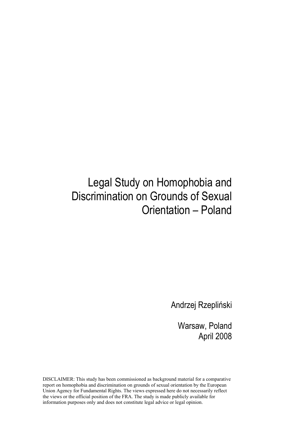# Legal Study on Homophobia and Discrimination on Grounds of Sexual Orientation – Poland

Andrzej Rzepliński

Warsaw, Poland April 2008

DISCLAIMER: This study has been commissioned as background material for a comparative report on homophobia and discrimination on grounds of sexual orientation by the European Union Agency for Fundamental Rights. The views expressed here do not necessarily reflect the views or the official position of the FRA. The study is made publicly available for information purposes only and does not constitute legal advice or legal opinion.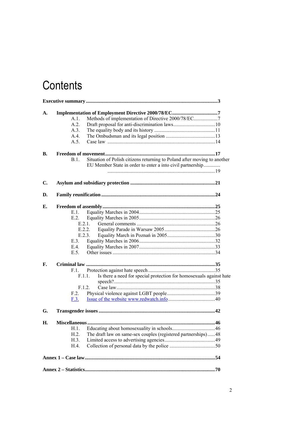# **Contents**

| A.             |                                                            |                                                                               |  |
|----------------|------------------------------------------------------------|-------------------------------------------------------------------------------|--|
|                | Methods of implementation of Directive 2000/78/EC7<br>A.1. |                                                                               |  |
|                | A.2.                                                       |                                                                               |  |
|                | A.3.                                                       |                                                                               |  |
|                | A.4.                                                       |                                                                               |  |
|                | A.5.                                                       |                                                                               |  |
|                |                                                            |                                                                               |  |
| В.             |                                                            |                                                                               |  |
|                | B.1.                                                       | Situation of Polish citizens returning to Poland after moving to another      |  |
|                |                                                            | EU Member State in order to enter a into civil partnership                    |  |
|                |                                                            |                                                                               |  |
| $\mathbf{C}$ . |                                                            |                                                                               |  |
| D.             |                                                            |                                                                               |  |
|                |                                                            |                                                                               |  |
| Е.             |                                                            |                                                                               |  |
|                | E.1.                                                       |                                                                               |  |
|                | E.2                                                        |                                                                               |  |
|                |                                                            | E.2.1                                                                         |  |
|                |                                                            | E.2.2.                                                                        |  |
|                |                                                            | E.2.3.                                                                        |  |
|                | E.3.                                                       |                                                                               |  |
|                | E.4.                                                       |                                                                               |  |
|                | E.5.                                                       |                                                                               |  |
| F.             |                                                            |                                                                               |  |
|                | F.1.                                                       |                                                                               |  |
|                |                                                            | Is there a need for special protection for homosexuals against hate<br>F.1.1. |  |
|                |                                                            |                                                                               |  |
|                |                                                            | F.1.2.                                                                        |  |
|                | F.2.                                                       |                                                                               |  |
|                | F.3.                                                       |                                                                               |  |
| G.             |                                                            |                                                                               |  |
| Η.             |                                                            |                                                                               |  |
|                | H.1.                                                       |                                                                               |  |
|                | H.2.                                                       | The draft law on same-sex couples (registered partnerships)48                 |  |
|                | H.3.                                                       |                                                                               |  |
|                | H.4.                                                       |                                                                               |  |
|                |                                                            |                                                                               |  |
|                |                                                            |                                                                               |  |
|                |                                                            |                                                                               |  |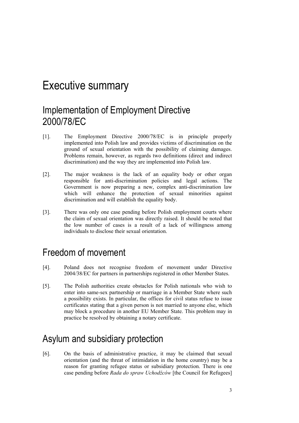# Executive summary

# Implementation of Employment Directive 2000/78/EC

- [1]. The Employment Directive 2000/78/EC is in principle properly implemented into Polish law and provides victims of discrimination on the ground of sexual orientation with the possibility of claiming damages. Problems remain, however, as regards two definitions (direct and indirect discrimination) and the way they are implemented into Polish law.
- [2]. The major weakness is the lack of an equality body or other organ responsible for anti-discrimination policies and legal actions. The Government is now preparing a new, complex anti-discrimination law which will enhance the protection of sexual minorities against discrimination and will establish the equality body.
- [3]. There was only one case pending before Polish employment courts where the claim of sexual orientation was directly raised. It should be noted that the low number of cases is a result of a lack of willingness among individuals to disclose their sexual orientation.

## Freedom of movement

- [4]. Poland does not recognise freedom of movement under Directive 2004/38/EC for partners in partnerships registered in other Member States.
- [5]. The Polish authorities create obstacles for Polish nationals who wish to enter into same-sex partnership or marriage in a Member State where such a possibility exists. In particular, the offices for civil status refuse to issue certificates stating that a given person is not married to anyone else, which may block a procedure in another EU Member State. This problem may in practice be resolved by obtaining a notary certificate.

# Asylum and subsidiary protection

[6]. On the basis of administrative practice, it may be claimed that sexual orientation (and the threat of intimidation in the home country) may be a reason for granting refugee status or subsidiary protection. There is one case pending before *Rada do spraw Uchodźców* [the Council for Refugees]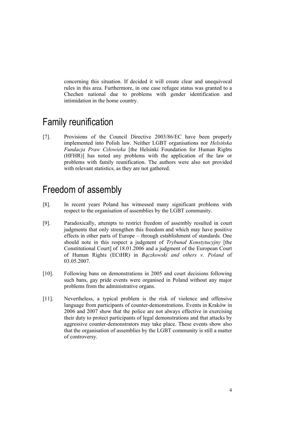concerning this situation. If decided it will create clear and unequivocal rules in this area. Furthermore, in one case refugee status was granted to a Chechen national due to problems with gender identification and intimidation in the home country.

### Family reunification

[7]. Provisions of the Council Directive 2003/86/EC have been properly implemented into Polish law. Neither LGBT organisations nor *Helsińska Fundacja Praw Człowieka* [the Helsinki Foundation for Human Rights (HFHR)] has noted any problems with the application of the law or problems with family reunification. The authors were also not provided with relevant statistics, as they are not gathered.

### Freedom of assembly

- [8]. In recent years Poland has witnessed many significant problems with respect to the organisation of assemblies by the LGBT community.
- [9]. Paradoxically, attempts to restrict freedom of assembly resulted in court judgments that only strengthen this freedom and which may have positive effects in other parts of Europe – through establishment of standards. One should note in this respect a judgment of *Trybunał Konstytucyjny* [the Constitutional Court] of 18.01.2006 and a judgment of the European Court of Human Rights (ECtHR) in *Bączkowski and others v. Poland* of 03.05.2007.
- [10]. Following bans on demonstrations in 2005 and court decisions following such bans, gay pride events were organised in Poland without any major problems from the administrative organs.
- [11]. Nevertheless, a typical problem is the risk of violence and offensive language from participants of counter-demonstrations. Events in Kraków in 2006 and 2007 show that the police are not always effective in exercising their duty to protect participants of legal demonstrations and that attacks by aggressive counter-demonstrators may take place. These events show also that the organisation of assemblies by the LGBT community is still a matter of controversy.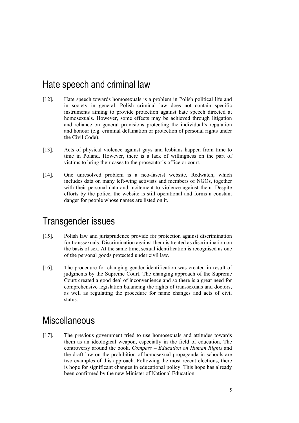### Hate speech and criminal law

- [12]. Hate speech towards homosexuals is a problem in Polish political life and in society in general. Polish criminal law does not contain specific instruments aiming to provide protection against hate speech directed at homosexuals. However, some effects may be achieved through litigation and reliance on general provisions protecting the individual's reputation and honour (e.g. criminal defamation or protection of personal rights under the Civil Code).
- [13]. Acts of physical violence against gays and lesbians happen from time to time in Poland. However, there is a lack of willingness on the part of victims to bring their cases to the prosecutor's office or court.
- [14]. One unresolved problem is a neo-fascist website, Redwatch, which includes data on many left-wing activists and members of NGOs, together with their personal data and incitement to violence against them. Despite efforts by the police, the website is still operational and forms a constant danger for people whose names are listed on it.

### Transgender issues

- [15]. Polish law and jurisprudence provide for protection against discrimination for transsexuals. Discrimination against them is treated as discrimination on the basis of sex. At the same time, sexual identification is recognised as one of the personal goods protected under civil law.
- [16]. The procedure for changing gender identification was created in result of judgments by the Supreme Court. The changing approach of the Supreme Court created a good deal of inconvenience and so there is a great need for comprehensive legislation balancing the rights of transsexuals and doctors, as well as regulating the procedure for name changes and acts of civil status.

### **Miscellaneous**

[17]. The previous government tried to use homosexuals and attitudes towards them as an ideological weapon, especially in the field of education. The controversy around the book, *Compass – Education on Human Rights* and the draft law on the prohibition of homosexual propaganda in schools are two examples of this approach. Following the most recent elections, there is hope for significant changes in educational policy. This hope has already been confirmed by the new Minister of National Education.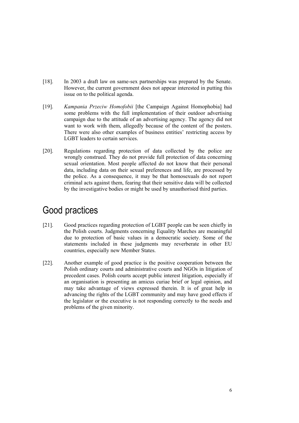- [18]. In 2003 a draft law on same-sex partnerships was prepared by the Senate. However, the current government does not appear interested in putting this issue on to the political agenda.
- [19]. *Kampania Przeciw Homofobii* [the Campaign Against Homophobia] had some problems with the full implementation of their outdoor advertising campaign due to the attitude of an advertising agency. The agency did not want to work with them, allegedly because of the content of the posters. There were also other examples of business entities' restricting access by LGBT leaders to certain services.
- [20]. Regulations regarding protection of data collected by the police are wrongly construed. They do not provide full protection of data concerning sexual orientation. Most people affected do not know that their personal data, including data on their sexual preferences and life, are processed by the police. As a consequence, it may be that homosexuals do not report criminal acts against them, fearing that their sensitive data will be collected by the investigative bodies or might be used by unauthorised third parties.

# Good practices

- [21]. Good practices regarding protection of LGBT people can be seen chiefly in the Polish courts. Judgments concerning Equality Marches are meaningful due to protection of basic values in a democratic society. Some of the statements included in these judgments may reverberate in other EU countries, especially new Member States.
- [22]. Another example of good practice is the positive cooperation between the Polish ordinary courts and administrative courts and NGOs in litigation of precedent cases. Polish courts accept public interest litigation, especially if an organisation is presenting an amicus curiae brief or legal opinion, and may take advantage of views expressed therein. It is of great help in advancing the rights of the LGBT community and may have good effects if the legislator or the executive is not responding correctly to the needs and problems of the given minority.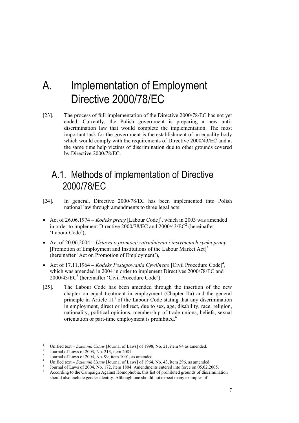# A. Implementation of Employment Directive 2000/78/EC

[23]. The process of full implementation of the Directive 2000/78/EC has not yet ended. Currently, the Polish government is preparing a new antidiscrimination law that would complete the implementation. The most important task for the government is the establishment of an equality body which would comply with the requirements of Directive 2000/43/EC and at the same time help victims of discrimination due to other grounds covered by Directive 2000/78/EC.

# A.1. Methods of implementation of Directive 2000/78/EC

- [24]. In general, Directive 2000/78/EC has been implemented into Polish national law through amendments to three legal acts:
- Act of 26.06.1974 *Kodeks pracy* [Labour Code]<sup>1</sup>, which in 2003 was amended in order to implement Directive 2000/78/EC and 2000/43/EC<sup>2</sup> (hereinafter 'Labour Code');
- Act of 20.06.2004 *Ustawa o promocji zatrudnienia i instytucjach rynku pracy*  [Promotion of Employment and Institutions of the Labour Market Act]<sup>3</sup> (hereinafter 'Act on Promotion of Employment'),
- Act of 17.11.1964 *Kodeks Postępowania Cywilnego* [Civil Procedure Code]<sup>4</sup>, which was amended in 2004 in order to implement Directives 2000/78/EC and 2000/43/EC<sup>5</sup> (hereinafter 'Civil Procedure Code').
- [25]. The Labour Code has been amended through the insertion of the new chapter on equal treatment in employment (Chapter IIa) and the general principle in Article  $11<sup>3</sup>$  of the Labour Code stating that any discrimination in employment, direct or indirect, due to sex, age, disability, race, religion, nationality, political opinions, membership of trade unions, beliefs, sexual orientation or part-time employment is prohibited.<sup>6</sup>

<sup>1</sup> Unified text – *Dziennik Ustaw* [Journal of Laws] of 1998, No. 21, item 94 as amended. 2

Journal of Laws of 2003, No. 213, item 2081.

<sup>3</sup> Journal of Laws of 2004, No. 99, item 1001, as amended.

<sup>4</sup> Unified text - *Dziennik Ustaw* [Journal of Laws] of 1964, No. 43, item 296, as amended.

Journal of Laws of 2004, No. 172, item 1804. Amendments entered into force on 05.02.2005.

According to the Campaign Against Homophobia, this list of prohibited grounds of discrimination should also include gender identity. Although one should not expect many examples of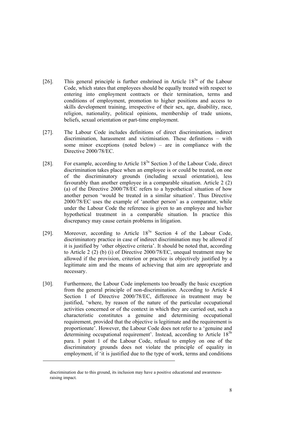- [26]. This general principle is further enshrined in Article  $18<sup>3a</sup>$  of the Labour Code, which states that employees should be equally treated with respect to entering into employment contracts or their termination, terms and conditions of employment, promotion to higher positions and access to skills development training, irrespective of their sex, age, disability, race, religion, nationality, political opinions, membership of trade unions, beliefs, sexual orientation or part-time employment.
- [27]. The Labour Code includes definitions of direct discrimination, indirect discrimination, harassment and victimisation. These definitions – with some minor exceptions (noted below) – are in compliance with the Directive 2000/78/EC.
- [28]. For example, according to Article 183a Section 3 of the Labour Code, direct discrimination takes place when an employee is or could be treated, on one of the discriminatory grounds (including sexual orientation), less favourably than another employee in a comparable situation. Article 2 (2) (a) of the Directive 2000/78/EC refers to a hypothetical situation of how another person 'would be treated in a similar situation'. Thus Directive 2000/78/EC uses the example of 'another person' as a comparator, while under the Labour Code the reference is given to an employee and his/her hypothetical treatment in a comparable situation. In practice this discrepancy may cause certain problems in litigation.
- [29]. Moreover, according to Article 18<sup>3a</sup> Section 4 of the Labour Code, discriminatory practice in case of indirect discrimination may be allowed if it is justified by 'other objective criteria'. It should be noted that, according to Article 2 (2) (b) (i) of Directive 2000/78/EC, unequal treatment may be allowed if the provision, criterion or practice is objectively justified by a legitimate aim and the means of achieving that aim are appropriate and necessary.
- [30]. Furthermore, the Labour Code implements too broadly the basic exception from the general principle of non-discrimination. According to Article 4 Section 1 of Directive 2000/78/EC, difference in treatment may be justified, 'where, by reason of the nature of the particular occupational activities concerned or of the context in which they are carried out, such a characteristic constitutes a genuine and determining occupational requirement, provided that the objective is legitimate and the requirement is proportionate'. However, the Labour Code does not refer to a 'genuine and determining occupational requirement'. Instead, according to Article 18<sup>3b</sup> para. 1 point 1 of the Labour Code, refusal to employ on one of the discriminatory grounds does not violate the principle of equality in employment, if 'it is justified due to the type of work, terms and conditions

-

discrimination due to this ground, its inclusion may have a positive educational and awarenessraising impact.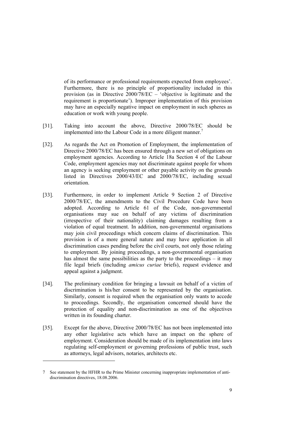of its performance or professional requirements expected from employees'. Furthermore, there is no principle of proportionality included in this provision (as in Directive 2000/78/EC – 'objective is legitimate and the requirement is proportionate'). Improper implementation of this provision may have an especially negative impact on employment in such spheres as education or work with young people.

- [31]. Taking into account the above, Directive 2000/78/EC should be implemented into the Labour Code in a more diligent manner.<sup>7</sup>
- [32]. As regards the Act on Promotion of Employment, the implementation of Directive 2000/78/EC has been ensured through a new set of obligations on employment agencies. According to Article 18a Section 4 of the Labour Code, employment agencies may not discriminate against people for whom an agency is seeking employment or other payable activity on the grounds listed in Directives 2000/43/EC and 2000/78/EC, including sexual orientation.
- [33]. Furthermore, in order to implement Article 9 Section 2 of Directive 2000/78/EC, the amendments to the Civil Procedure Code have been adopted. According to Article 61 of the Code, non-governmental organisations may sue on behalf of any victims of discrimination (irrespective of their nationality) claiming damages resulting from a violation of equal treatment. In addition, non-governmental organisations may join civil proceedings which concern claims of discrimination. This provision is of a more general nature and may have application in all discrimination cases pending before the civil courts, not only those relating to employment. By joining proceedings, a non-governmental organisation has almost the same possibilities as the party to the proceedings – it may file legal briefs (including *amicus curiae* briefs), request evidence and appeal against a judgment.
- [34]. The preliminary condition for bringing a lawsuit on behalf of a victim of discrimination is his/her consent to be represented by the organisation. Similarly, consent is required when the organisation only wants to accede to proceedings. Secondly, the organisation concerned should have the protection of equality and non-discrimination as one of the objectives written in its founding charter.
- [35]. Except for the above, Directive 2000/78/EC has not been implemented into any other legislative acts which have an impact on the sphere of employment. Consideration should be made of its implementation into laws regulating self-employment or governing professions of public trust, such as attorneys, legal advisors, notaries, architects etc.

<sup>7</sup> See statement by the HFHR to the Prime Minister concerning inappropriate implementation of antidiscrimination directives, 18.08.2006.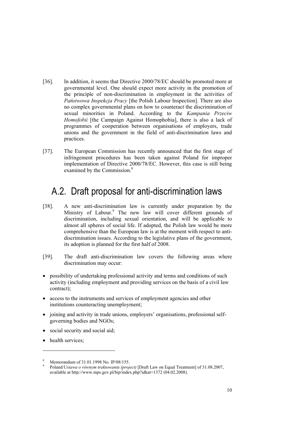- [36]. In addition, it seems that Directive 2000/78/EC should be promoted more at governmental level. One should expect more activity in the promotion of the principle of non-discrimination in employment in the activities of *Państwowa Inspekcja Pracy* [the Polish Labour Inspection]. There are also no complex governmental plans on how to counteract the discrimination of sexual minorities in Poland. According to the *Kampania Przeciw Homofobii* [the Campaign Against Homophobia], there is also a lack of programmes of cooperation between organisations of employers, trade unions and the government in the field of anti-discrimination laws and practices.
- [37]. The European Commission has recently announced that the first stage of infringement procedures has been taken against Poland for improper implementation of Directive 2000/78/EC. However, this case is still being examined by the Commission.<sup>8</sup>

# A.2. Draft proposal for anti-discrimination laws

- [38]. A new anti-discrimination law is currently under preparation by the Ministry of Labour.<sup>9</sup> The new law will cover different grounds of discrimination, including sexual orientation, and will be applicable to almost all spheres of social life. If adopted, the Polish law would be more comprehensive than the European law is at the moment with respect to antidiscrimination issues. According to the legislative plans of the government, its adoption is planned for the first half of 2008.
- [39]. The draft anti-discrimination law covers the following areas where discrimination may occur:
- possibility of undertaking professional activity and terms and conditions of such activity (including employment and providing services on the basis of a civil law contract);
- access to the instruments and services of employment agencies and other institutions counteracting unemployment;
- joining and activity in trade unions, employers' organisations, professional selfgoverning bodies and NGOs;
- social security and social aid;
- health services:

<sup>8</sup> Memorandum of  $31.01.1998$  No. IP/08/155.<br>Poland/Llateria a náromum traktaveniu (proj

Poland/*Ustawa o równym traktowaniu (project)* [Draft Law on Equal Treatment] of 31.08.2007, available at http://www.mps.gov.pl/bip/index.php?idkat=1372 (04.02.2008).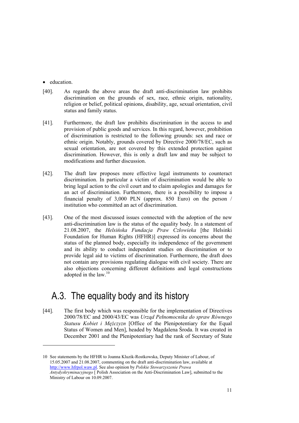• education.

-

- [40]. As regards the above areas the draft anti-discrimination law prohibits discrimination on the grounds of sex, race, ethnic origin, nationality, religion or belief, political opinions, disability, age, sexual orientation, civil status and family status.
- [41]. Furthermore, the draft law prohibits discrimination in the access to and provision of public goods and services. In this regard, however, prohibition of discrimination is restricted to the following grounds: sex and race or ethnic origin. Notably, grounds covered by Directive 2000/78/EC, such as sexual orientation, are not covered by this extended protection against discrimination. However, this is only a draft law and may be subject to modifications and further discussion.
- [42]. The draft law proposes more effective legal instruments to counteract discrimination. In particular a victim of discrimination would be able to bring legal action to the civil court and to claim apologies and damages for an act of discrimination. Furthermore, there is a possibility to impose a financial penalty of 3,000 PLN (approx. 850 Euro) on the person / institution who committed an act of discrimination.
- [43]. One of the most discussed issues connected with the adoption of the new anti-discrimination law is the status of the equality body. In a statement of 21.08.2007, the *Helsińska Fundacja Praw Człowieka* [the Helsinki Foundation for Human Rights (HFHR)] expressed its concerns about the status of the planned body, especially its independence of the government and its ability to conduct independent studies on discrimination or to provide legal aid to victims of discrimination. Furthermore, the draft does not contain any provisions regulating dialogue with civil society. There are also objections concerning different definitions and legal constructions adopted in the law.<sup>10</sup>

## A.3. The equality body and its history

[44]. The first body which was responsible for the implementation of Directives 2000/78/EC and 2000/43/EC was *Urząd Pełnomocnika do spraw Równego Statusu Kobiet i Mężczyzn* [Office of the Plenipotentiary for the Equal Status of Women and Men], headed by Magdalena Środa. It was created in December 2001 and the Plenipotentiary had the rank of Secretary of State

<sup>10</sup> See statements by the HFHR to Joanna Kluzik-Rostkowska, Deputy Minister of Labour, of 15.05.2007 and 21.08.2007, commenting on the draft anti-discrimination law, available at http://www.hfrpol.waw.pl. See also opinion by *Polskie Stowarzyszenie Prawa Antydyskryminacyjnego* [ Polish Association on the Anti-Discrimination Law], submitted to the Ministry of Labour on 10.09.2007.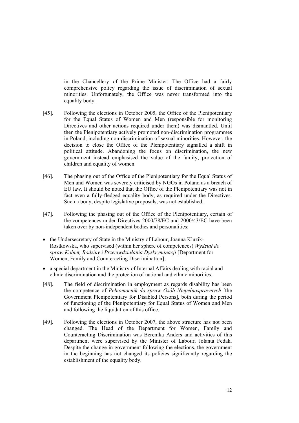in the Chancellery of the Prime Minister. The Office had a fairly comprehensive policy regarding the issue of discrimination of sexual minorities. Unfortunately, the Office was never transformed into the equality body.

- [45]. Following the elections in October 2005, the Office of the Plenipotentiary for the Equal Status of Women and Men (responsible for monitoring Directives and other actions required under them) was dismantled. Until then the Plenipotentiary actively promoted non-discrimination programmes in Poland, including non-discrimination of sexual minorities. However, the decision to close the Office of the Plenipotentiary signalled a shift in political attitude. Abandoning the focus on discrimination, the new government instead emphasised the value of the family, protection of children and equality of women.
- [46]. The phasing out of the Office of the Plenipotentiary for the Equal Status of Men and Women was severely criticised by NGOs in Poland as a breach of EU law. It should be noted that the Office of the Plenipotentiary was not in fact even a fully-fledged equality body, as required under the Directives. Such a body, despite legislative proposals, was not established.
- [47]. Following the phasing out of the Office of the Plenipotentiary, certain of the competences under Directives 2000/78/EC and 2000/43/EC have been taken over by non-independent bodies and personalities:
- the Undersecretary of State in the Ministry of Labour, Joanna Kluzik-Rostkowska, who supervised (within her sphere of competences) *Wydział do spraw Kobiet, Rodziny i Przeciwdziałania Dyskryminacji* [Department for Women, Family and Counteracting Discrimination];
- a special department in the Ministry of Internal Affairs dealing with racial and ethnic discrimination and the protection of national and ethnic minorities.
- [48]. The field of discrimination in employment as regards disability has been the competence of *Pełnomocnik do spraw Osób Niepełnosprawnych* [the Government Plenipotentiary for Disabled Persons], both during the period of functioning of the Plenipotentiary for Equal Status of Women and Men and following the liquidation of this office.
- [49]. Following the elections in October 2007, the above structure has not been changed. The Head of the Department for Women, Family and Counteracting Discrimination was Berenika Anders and activities of this department were supervised by the Minister of Labour, Jolanta Fedak. Despite the change in government following the elections, the government in the beginning has not changed its policies significantly regarding the establishment of the equality body.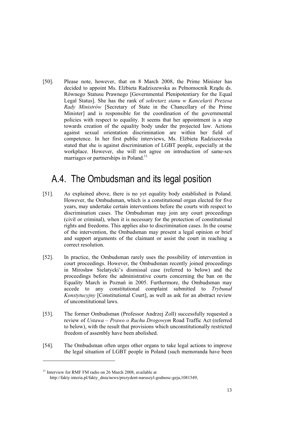[50]. Please note, however, that on 8 March 2008, the Prime Minister has decided to appoint Ms. Elżbieta Radziszewska as Pełnomocnik Rządu ds. Równego Statusu Prawnego [Governmental Plenipotentiary for the Equal Legal Status]. She has the rank of *sekretarz stanu w Kancelarii Prezesa Rady Ministrów* [Secretary of State in the Chancellary of the Prime Minister] and is responsible for the coordination of the governmental policies with respect to equality. It seems that her appointment is a step towards creation of the equality body under the projected law. Actions against sexual orientation discrimination are within her field of competence. In her first public interviews, Ms. Elżbieta Radziszewska stated that she is against discrimination of LGBT people, especially at the workplace. However, she will not agree on introduction of same-sex marriages or partnerships in Poland.<sup>11</sup>

## A.4. The Ombudsman and its legal position

- [51]. As explained above, there is no yet equality body established in Poland. However, the Ombudsman, which is a constitutional organ elected for five years, may undertake certain interventions before the courts with respect to discrimination cases. The Ombudsman may join any court proceedings (civil or criminal), when it is necessary for the protection of constitutional rights and freedoms. This applies also to discrimination cases. In the course of the intervention, the Ombudsman may present a legal opinion or brief and support arguments of the claimant or assist the court in reaching a correct resolution.
- [52]. In practice, the Ombudsman rarely uses the possibility of intervention in court proceedings. However, the Ombudsman recently joined proceedings in Mirosław Sielatycki's dismissal case (referred to below) and the proceedings before the administrative courts concerning the ban on the Equality March in Poznań in 2005. Furthermore, the Ombudsman may accede to any constitutional complaint submitted to *Trybunał Konstytucyjny* [Constitutional Court], as well as ask for an abstract review of unconstitutional laws.
- [53]. The former Ombudsman (Professor Andrzej Zoll) successfully requested a review of *Ustawa – Prawo o Ruchu Drogowym* Road Traffic Act (referred to below), with the result that provisions which unconstitutionally restricted freedom of assembly have been abolished.
- [54]. The Ombudsman often urges other organs to take legal actions to improve the legal situation of LGBT people in Poland (such memoranda have been

<u>.</u>

<sup>&</sup>lt;sup>11</sup> Interview for RMF FM radio on 26 March 2008, available at http://fakty.interia.pl/fakty\_dnia/news/prezydent-naruszyl-godnosc-geja,1081549,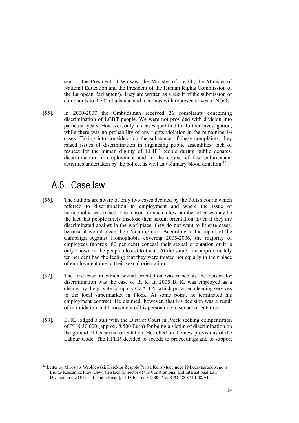sent to the President of Warsaw, the Minister of Health, the Minister of National Education and the President of the Human Rights Commission of the European Parliament). They are written as a result of the submission of complaints to the Ombudsman and meetings with representatives of NGOs.

[55]. In 2000-2007 the Ombudsman received 26 complaints concerning discrimination of LGBT people. We were not provided with division into particular years. However, only ten cases qualified for further investigation, while there was no probability of any rights violation in the remaining 16 cases. Taking into consideration the substance of these complaints, they raised issues of discrimination in organising public assemblies, lack of respect for the human dignity of LGBT people during public debates, discrimination in employment and in the course of law enforcement activities undertaken by the police, as well as voluntary blood donation.<sup>12</sup>

#### A.5. Case law

- [56]. The authors are aware of only two cases decided by the Polish courts which referred to discrimination in employment and where the issue of homophobia was raised. The reason for such a low number of cases may be the fact that people rarely disclose their sexual orientation. Even if they are discriminated against in the workplace, they do not want to litigate cases, because it would mean their 'coming out'. According to the report of the Campaign Against Homophobia covering 2005-2006, the majority of employees (approx. 80 per cent) conceal their sexual orientation or it is only known to the people closest to them. At the same time approximately ten per cent had the feeling that they were treated not equally in their place of employment due to their sexual orientation.
- [57]. The first case in which sexual orientation was raised as the reason for discrimination was the case of B. K. In 2005 B. K. was employed as a cleaner by the private company CZA-TA, which provided cleaning services to the local supermarket in Płock. At some point, he terminated his employment contract. He claimed, however, that his decision was a result of intimidation and harassment of his person due to sexual orientation.
- [58]. B. K. lodged a suit with the District Court in Płock seeking compensation of PLN 30,000 (approx. 8,500 Euro) for being a victim of discrimination on the ground of his sexual orientation. He relied on the new provisions of the Labour Code. The HFHR decided to accede to proceedings and to support

<sup>&</sup>lt;sup>12</sup> Letter by Mirosław Wróblewski, Dyrektor Zespołu Prawa Konstytucyjnego i Międzynarodowego w Biurze Rzecznika Praw Obywatelskich [Director of the Constitutional and International Law Division in the Office of Ombudsman], of 13 February 2008, No. RPO-580873-I-08/AK.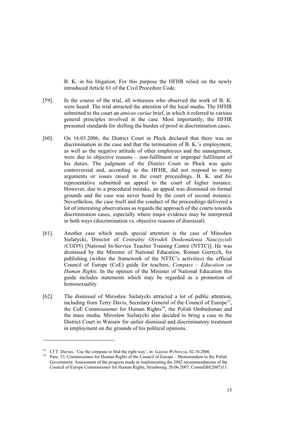B. K. in his litigation. For this purpose the HFHR relied on the newly introduced Article 61 of the Civil Procedure Code.

- [59]. In the course of the trial, all witnesses who observed the work of B. K. were heard. The trial attracted the attention of the local media. The HFHR submitted to the court an *amicus curiae* brief, in which it referred to various general principles involved in the case. Most importantly, the HFHR presented standards for shifting the burden of proof in discrimination cases.
- [60]. On 16.03.2006, the District Court in Płock declared that there was no discrimination in the case and that the termination of B. K.'s employment, as well as the negative attitude of other employees and the management, were due to objective reasons – non-fulfilment or improper fulfilment of his duties. The judgment of the District Court in Płock was quite controversial and, according to the HFHR, did not respond to many arguments or issues raised in the court proceedings. B. K. and his representative submitted an appeal to the court of higher instance. However, due to a procedural mistake, an appeal was dismissed on formal grounds and the case was never heard by the court of second instance. Nevertheless, the case itself and the conduct of the proceedings delivered a lot of interesting observations as regards the approach of the courts towards discrimination cases, especially where major evidence may be interpreted in both ways (discrimination vs. objective reasons of dismissal).
- [61]. Another case which needs special attention is the case of Mirosław Sielatycki, Director of *Centralny Ośrodek Doskonalenia Nauczycieli (CODN*) [National In-Service Teacher Training Centre (NTTC)]. He was dismissed by the Minister of National Education, Roman Giertych, for publishing (within the framework of the NTTC's activities) the official Council of Europe (CoE) guide for teachers, *Compass – Education on Human Rights*. In the opinion of the Minister of National Education this guide includes statements which may be regarded as a promotion of homosexuality.
- [62]. The dismissal of Mirosław Sielatycki attracted a lot of public attention, including from Terry Davis, Secretary General of the Council of Europe<sup>13</sup>, the CoE Commissioner for Human Rights<sup>14</sup>, the Polish Ombudsman and the mass media. Mirosław Sielatycki also decided to bring a case to the District Court in Warsaw for unfair dismissal and discriminatory treatment in employment on the grounds of his political opinions.

<sup>&</sup>lt;sup>13</sup> Cf T. Davies, 'Use the compass to find the right way', in: *Gazeta Wyborcza*, 02.10.2006.<br><sup>14</sup> Para. 53, Commissioner for Human Rights of the Council of Europe – Memorandum to the Polish Government. Assessment of the progress made in implementing the 2002 recommendations of the Council of Europe Commissioner for Human Rights, Strasbourg, 20.06.2007, CommDH(2007)13.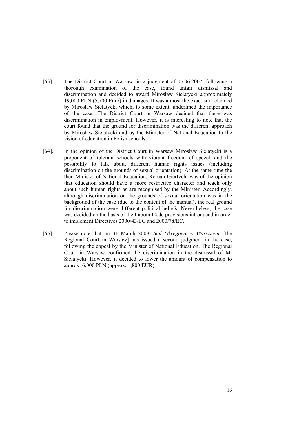- [63]. The District Court in Warsaw, in a judgment of 05.06.2007, following a thorough examination of the case, found unfair dismissal and discrimination and decided to award Mirosław Sielatycki approximately 19,000 PLN (5,700 Euro) in damages. It was almost the exact sum claimed by Mirosław Sielatycki which, to some extent, underlined the importance of the case. The District Court in Warsaw decided that there was discrimination in employment. However, it is interesting to note that the court found that the ground for discrimination was the different approach by Mirosław Sielatycki and by the Minister of National Education to the vision of education in Polish schools.
- [64]. In the opinion of the District Court in Warsaw Mirosław Sielatycki is a proponent of tolerant schools with vibrant freedom of speech and the possibility to talk about different human rights issues (including discrimination on the grounds of sexual orientation). At the same time the then Minister of National Education, Roman Giertych, was of the opinion that education should have a more restrictive character and teach only about such human rights as are recognised by the Minister. Accordingly, although discrimination on the grounds of sexual orientation was in the background of the case (due to the content of the manual), the real ground for discrimination were different political beliefs. Nevertheless, the case was decided on the basis of the Labour Code provisions introduced in order to implement Directives 2000/43/EC and 2000/78/EC.
- [65]. Please note that on 31 March 2008, *Sąd Okręgowy w Warszawie* [the Regional Court in Warsawl has issued a second judgment in the case, following the appeal by the Minister of National Education. The Regional Court in Warsaw confirmed the discrimination in the dismissal of M. Sielatycki. However, it decided to lower the amount of compensation to approx. 6,000 PLN (approx. 1,800 EUR).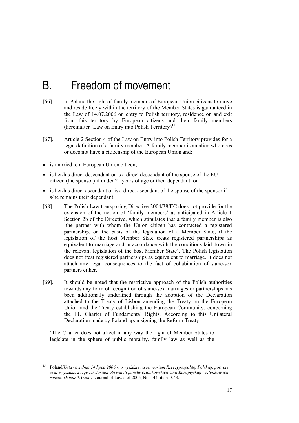# B. Freedom of movement

- [66]. In Poland the right of family members of European Union citizens to move and reside freely within the territory of the Member States is guaranteed in the Law of 14.07.2006 on entry to Polish territory, residence on and exit from this territory by European citizens and their family members (hereinafter 'Law on Entry into Polish Territory)<sup>15</sup>.
- [67]. Article 2 Section 4 of the Law on Entry into Polish Territory provides for a legal definition of a family member. A family member is an alien who does or does not have a citizenship of the European Union and:
- is married to a European Union citizen:

1

- is her/his direct descendant or is a direct descendant of the spouse of the EU citizen (the sponsor) if under 21 years of age or their dependant; or
- is her/his direct ascendant or is a direct ascendant of the spouse of the sponsor if s/he remains their dependant.
- [68]. The Polish Law transposing Directive 2004/38/EC does not provide for the extension of the notion of 'family members' as anticipated in Article 1 Section 2b of the Directive, which stipulates that a family member is also 'the partner with whom the Union citizen has contracted a registered partnership, on the basis of the legislation of a Member State, if the legislation of the host Member State treats registered partnerships as equivalent to marriage and in accordance with the conditions laid down in the relevant legislation of the host Member State'. The Polish legislation does not treat registered partnerships as equivalent to marriage. It does not attach any legal consequences to the fact of cohabitation of same-sex partners either.
- [69]. It should be noted that the restrictive approach of the Polish authorities towards any form of recognition of same-sex marriages or partnerships has been additionally underlined through the adoption of the Declaration attached to the Treaty of Lisbon amending the Treaty on the European Union and the Treaty establishing the European Community, concerning the EU Charter of Fundamental Rights. According to this Unilateral Declaration made by Poland upon signing the Reform Treaty:

'The Charter does not affect in any way the right of Member States to legislate in the sphere of public morality, family law as well as the

<sup>15</sup> Poland/*Ustawa z dnia 14 lipca 2006 r. o wjeździe na terytorium Rzeczypospolitej Polskiej, pobycie oraz wyjeździe z tego terytorium obywateli państw członkowskich Unii Europejskiej i członków ich rodzin*, *Dziennik Ustaw* [Journal of Laws] of 2006, No. 144, item 1043.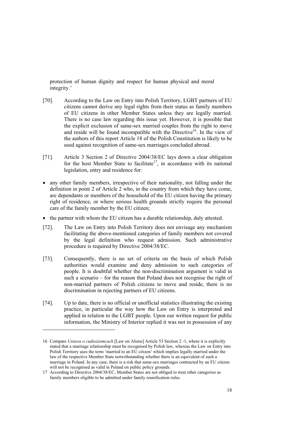protection of human dignity and respect for human physical and moral integrity.'

- [70]. According to the Law on Entry into Polish Territory, LGBT partners of EU citizens cannot derive any legal rights from their status as family members of EU citizens in other Member States unless they are legally married. There is no case law regarding this issue yet. However, it is possible that the explicit exclusion of same-sex married couples from the right to move and reside will be found incompatible with the Directive<sup>16</sup>. In the view of the authors of this report Article 18 of the Polish Constitution is likely to be used against recognition of same-sex marriages concluded abroad.
- [71]. Article 3 Section 2 of Directive 2004/38/EC lays down a clear obligation for the host Member State to facilitate<sup>17</sup>, in accordance with its national legislation, entry and residence for:
- any other family members, irrespective of their nationality, not falling under the definition in point 2 of Article 2 who, in the country from which they have come, are dependants or members of the household of the EU citizen having the primary right of residence, or where serious health grounds strictly require the personal care of the family member by the EU citizen;
- the partner with whom the EU citizen has a durable relationship, duly attested.
- [72]. The Law on Entry into Polish Territory does not envisage any mechanism facilitating the above-mentioned categories of family members not covered by the legal definition who request admission. Such administrative procedure is required by Directive 2004/38/EC.
- [73]. Consequently, there is no set of criteria on the basis of which Polish authorities would examine and deny admission to such categories of people. It is doubtful whether the non-discrimination argument is valid in such a scenario – for the reason that Poland does not recognise the right of non-married partners of Polish citizens to move and reside, there is no discrimination in rejecting partners of EU citizens.
- [74]. Up to date, there is no official or unofficial statistics illustrating the existing practice, in particular the way how the Law on Entry is interpreted and applied in relation to the LGBT people. Upon our written request for public information, the Ministry of Interior replied it was not in possession of any

<sup>16</sup> Compare *Ustawa o cudzoziemcach* [Law on Aliens] Article 53 Section 2 -1, where it is explicitly stated that a marriage relationship must be recognised by Polish law, whereas the Law on Entry into Polish Territory uses the term 'married to an EU citizen' which implies legally married under the law of the respective Member State notwithstanding whether there is an equivalent of such a marriage in Poland. In any case, there is a risk that same-sex marriages contracted by an EU citizen will not be recognised as valid in Poland on public policy grounds.

<sup>17</sup> According to Directive 2004/38/EC, Member States are not obliged to treat other categories as family members eligible to be admitted under family reunification rules.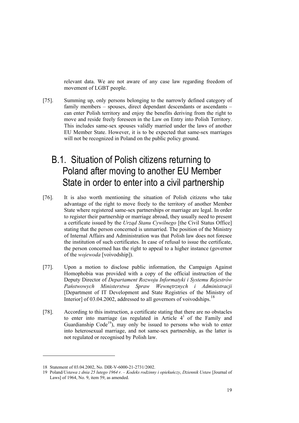relevant data. We are not aware of any case law regarding freedom of movement of LGBT people.

[75]. Summing up, only persons belonging to the narrowly defined category of family members – spouses, direct dependant descendants or ascendants – can enter Polish territory and enjoy the benefits deriving from the right to move and reside freely foreseen in the Law on Entry into Polish Territory. This includes same-sex spouses validly married under the laws of another EU Member State. However, it is to be expected that same-sex marriages will not be recognized in Poland on the public policy ground.

# B.1. Situation of Polish citizens returning to Poland after moving to another EU Member State in order to enter into a civil partnership

- [76]. It is also worth mentioning the situation of Polish citizens who take advantage of the right to move freely to the territory of another Member State where registered same-sex partnerships or marriage are legal. In order to register their partnership or marriage abroad, they usually need to present a certificate issued by the *Urząd Stanu Cywilnego* [the Civil Status Office] stating that the person concerned is unmarried. The position of the Ministry of Internal Affairs and Administration was that Polish law does not foresee the institution of such certificates. In case of refusal to issue the certificate, the person concerned has the right to appeal to a higher instance (governor of the *wojewoda* [voivodship]).
- [77]. Upon a motion to disclose public information, the Campaign Against Homophobia was provided with a copy of the official instruction of the Deputy Director of *Departament Rozwoju Informatyki i Systemu Rejestrów Państwowych Ministerstwa Spraw Wewnętrznych i Administracji* [Department of IT Development and State Registries of the Ministry of Interior] of 03.04.2002, addressed to all governors of voivodships.<sup>18</sup>
- [78]. According to this instruction, a certificate stating that there are no obstacles to enter into marriage (as regulated in Article  $4<sup>1</sup>$  of the Family and Guardianship  $Code<sup>19</sup>$ , may only be issued to persons who wish to enter into heterosexual marriage, and not same-sex partnership, as the latter is not regulated or recognised by Polish law.

<sup>18</sup> Statement of 03.04.2002, No. DIR-V-6000-21-2731/2002.

<sup>19</sup> Poland/*Ustawa z dnia 25 lutego 1964 r. – Kodeks rodzinny i opiekuńczy*, *Dziennik Ustaw* [Journal of Laws] of 1964, No. 9, item 59, as amended.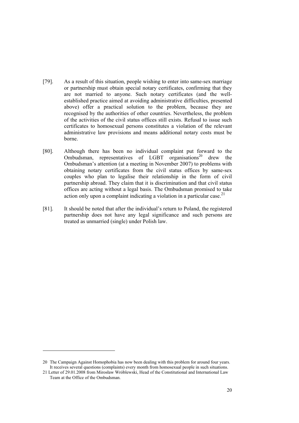- [79]. As a result of this situation, people wishing to enter into same-sex marriage or partnership must obtain special notary certificates, confirming that they are not married to anyone. Such notary certificates (and the wellestablished practice aimed at avoiding administrative difficulties, presented above) offer a practical solution to the problem, because they are recognised by the authorities of other countries. Nevertheless, the problem of the activities of the civil status offices still exists. Refusal to issue such certificates to homosexual persons constitutes a violation of the relevant administrative law provisions and means additional notary costs must be borne.
- [80]. Although there has been no individual complaint put forward to the Ombudsman, representatives of LGBT  $\overrightarrow{0}$  organisations<sup>20</sup> drew the Ombudsman's attention (at a meeting in November 2007) to problems with obtaining notary certificates from the civil status offices by same-sex couples who plan to legalise their relationship in the form of civil partnership abroad. They claim that it is discrimination and that civil status offices are acting without a legal basis. The Ombudsman promised to take action only upon a complaint indicating a violation in a particular case.<sup>21</sup>
- [81]. It should be noted that after the individual's return to Poland, the registered partnership does not have any legal significance and such persons are treated as unmarried (single) under Polish law.

<sup>20</sup> The Campaign Against Homophobia has now been dealing with this problem for around four years. It receives several questions (complaints) every month from homosexual people in such situations.

<sup>21</sup> Letter of 29.01.2008 from Mirosław Wróblewski, Head of the Constitutional and International Law Team at the Office of the Ombudsman.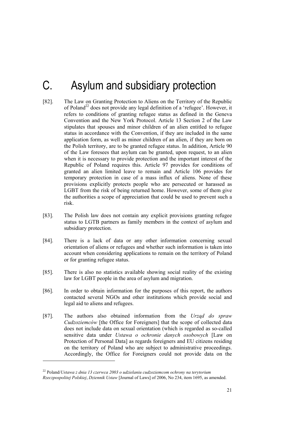# C. Asylum and subsidiary protection

- [82]. The Law on Granting Protection to Aliens on the Territory of the Republic of Poland<sup>22</sup> does not provide any legal definition of a 'refugee'. However, it refers to conditions of granting refugee status as defined in the Geneva Convention and the New York Protocol. Article 13 Section 2 of the Law stipulates that spouses and minor children of an alien entitled to refugee status in accordance with the Convention, if they are included in the same application form, as well as minor children of an alien, if they are born on the Polish territory, are to be granted refugee status. In addition, Article 90 of the Law foresees that asylum can be granted, upon request, to an alien when it is necessary to provide protection and the important interest of the Republic of Poland requires this. Article 97 provides for conditions of granted an alien limited leave to remain and Article 106 provides for temporary protection in case of a mass influx of aliens. None of these provisions explicitly protects people who are persecuted or harassed as LGBT from the risk of being returned home. However, some of them give the authorities a scope of appreciation that could be used to prevent such a risk.
- [83]. The Polish law does not contain any explicit provisions granting refugee status to LGTB partners as family members in the context of asylum and subsidiary protection.
- [84]. There is a lack of data or any other information concerning sexual orientation of aliens or refugees and whether such information is taken into account when considering applications to remain on the territory of Poland or for granting refugee status.
- [85]. There is also no statistics available showing social reality of the existing law for LGBT people in the area of asylum and migration.
- [86]. In order to obtain information for the purposes of this report, the authors contacted several NGOs and other institutions which provide social and legal aid to aliens and refugees.
- [87]. The authors also obtained information from the *Urząd do spraw Cudzoziemców* [the Office for Foreigners] that the scope of collected data does not include data on sexual orientation (which is regarded as so-called sensitive data under *Ustawa o ochronie danych osobowych* [Law on Protection of Personal Data] as regards foreigners and EU citizens residing on the territory of Poland who are subject to administrative proceedings. Accordingly, the Office for Foreigners could not provide data on the

<sup>22</sup> Poland/*Ustawa z dnia 13 czerwca 2003 o udzielaniu cudzoziemcom ochrony na terytorium* 

*Rzeczpospolitej Polskiej*, *Dziennik Ustaw* [Journal of Laws] of 2006, No 234, item 1695, as amended.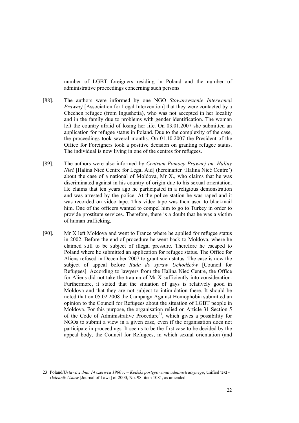number of LGBT foreigners residing in Poland and the number of administrative proceedings concerning such persons.

- [88]. The authors were informed by one NGO *Stowarzyszenie Interwencji Prawnej* [Association for Legal Intervention] that they were contacted by a Chechen refugee (from Ingushetia), who was not accepted in her locality and in the family due to problems with gender identification. The woman left the country afraid of losing her life. On 03.01.2007 she submitted an application for refugee status in Poland. Due to the complexity of the case, the proceedings took several months. On 01.10.2007 the President of the Office for Foreigners took a positive decision on granting refugee status. The individual is now living in one of the centres for refugees.
- [89]. The authors were also informed by *Centrum Pomocy Prawnej im. Haliny Nieć* [Halina Nieć Centre for Legal Aid] (hereinafter 'Halina Nieć Centre') about the case of a national of Moldova, Mr X., who claims that he was discriminated against in his country of origin due to his sexual orientation. He claims that ten years ago he participated in a religious demonstration and was arrested by the police. At the police station he was raped and it was recorded on video tape. This video tape was then used to blackmail him. One of the officers wanted to compel him to go to Turkey in order to provide prostitute services. Therefore, there is a doubt that he was a victim of human trafficking.
- [90]. Mr X left Moldova and went to France where he applied for refugee status in 2002. Before the end of procedure he went back to Moldova, where he claimed still to be subject of illegal pressure. Therefore he escaped to Poland where he submitted an application for refugee status. The Office for Aliens refused in December 2007 to grant such status. The case is now the subject of appeal before *Rada do spraw Uchodźców* [Council for Refugees]. According to lawyers from the Halina Nieć Centre, the Office for Aliens did not take the trauma of Mr X sufficiently into consideration. Furthermore, it stated that the situation of gays is relatively good in Moldova and that they are not subject to intimidation there. It should be noted that on 05.02.2008 the Campaign Against Homophobia submitted an opinion to the Council for Refugees about the situation of LGBT people in Moldova. For this purpose, the organisation relied on Article 31 Section 5 of the Code of Administrative Procedure<sup>23</sup>, which gives a possibility for NGOs to submit a view in a given case, even if the organisation does not participate in proceedings. It seems to be the first case to be decided by the appeal body, the Council for Refugees, in which sexual orientation (and

-

<sup>23</sup> Poland/*Ustawa z dnia 14 czerwca 1960 r. – Kodeks postępowania administracyjnego*, unified text - *Dziennik Ustaw* [Journal of Laws] of 2000, No. 98, item 1081, as amended.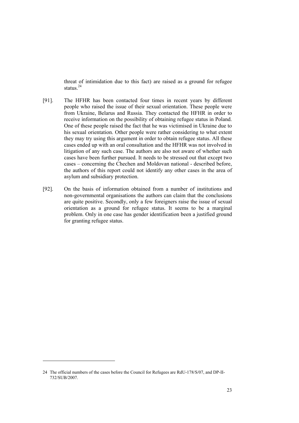threat of intimidation due to this fact) are raised as a ground for refugee status $^{24}$ 

- [91]. The HFHR has been contacted four times in recent years by different people who raised the issue of their sexual orientation. These people were from Ukraine, Belarus and Russia. They contacted the HFHR in order to receive information on the possibility of obtaining refugee status in Poland. One of these people raised the fact that he was victimised in Ukraine due to his sexual orientation. Other people were rather considering to what extent they may try using this argument in order to obtain refugee status. All these cases ended up with an oral consultation and the HFHR was not involved in litigation of any such case. The authors are also not aware of whether such cases have been further pursued. It needs to be stressed out that except two cases – concerning the Chechen and Moldovan national - described before, the authors of this report could not identify any other cases in the area of asylum and subsidiary protection.
- [92]. On the basis of information obtained from a number of institutions and non-governmental organisations the authors can claim that the conclusions are quite positive. Secondly, only a few foreigners raise the issue of sexual orientation as a ground for refugee status. It seems to be a marginal problem. Only in one case has gender identification been a justified ground for granting refugee status.

<sup>24</sup> The official numbers of the cases before the Council for Refugees are RdU-178/S/07, and DP-II-732/SUB/2007.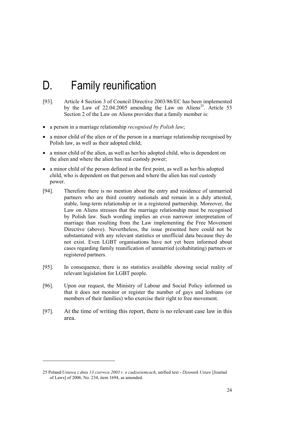# D. Family reunification

- [93]. Article 4 Section 3 of Council Directive 2003/86/EC has been implemented by the Law of  $22.04.2005$  amending the Law on Aliens<sup>25</sup>. Article 53 Section 2 of the Law on Aliens provides that a family member is:
- a person in a marriage relationship *recognised by Polish law*;
- a minor child of the alien or of the person in a marriage relationship recognised by Polish law, as well as their adopted child;
- a minor child of the alien, as well as her/his adopted child, who is dependent on the alien and where the alien has real custody power;
- a minor child of the person defined in the first point, as well as her/his adopted child, who is dependent on that person and where the alien has real custody power.
- [94]. Therefore there is no mention about the entry and residence of unmarried partners who are third country nationals and remain in a duly attested, stable, long-term relationship or in a registered partnership. Moreover, the Law on Aliens stresses that the marriage relationship must be recognised by Polish law. Such wording implies an even narrower interpretation of marriage than resulting from the Law implementing the Free Movement Directive (above). Nevertheless, the issue presented here could not be substantiated with any relevant statistics or unofficial data because they do not exist. Even LGBT organisations have not yet been informed about cases regarding family reunification of unmarried (cohabitating) partners or registered partners.
- [95]. In consequence, there is no statistics available showing social reality of relevant legislation for LGBT people.
- [96]. Upon our request, the Ministry of Labour and Social Policy informed us that it does not monitor or register the number of gays and lesbians (or members of their families) who exercise their right to free movement.
- [97]. At the time of writing this report, there is no relevant case law in this area.

-

<sup>25</sup> Poland/*Ustawa z dnia 13 czerwca 2003 r. o cudzoziemcach*, unified text - *Dziennik Ustaw* [Journal of Laws] of 2006, No. 234, item 1694, as amended.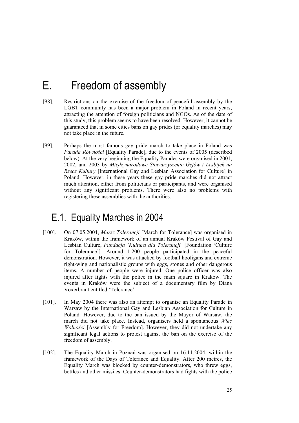# E. Freedom of assembly

- [98]. Restrictions on the exercise of the freedom of peaceful assembly by the LGBT community has been a major problem in Poland in recent years, attracting the attention of foreign politicians and NGOs. As of the date of this study, this problem seems to have been resolved. However, it cannot be guaranteed that in some cities bans on gay prides (or equality marches) may not take place in the future.
- [99]. Perhaps the most famous gay pride march to take place in Poland was *Parada Równości* [Equality Parade], due to the events of 2005 (described below). At the very beginning the Equality Parades were organised in 2001, 2002, and 2003 by *Międzynarodowe Stowarzyszenie Gejów i Lesbijek na Rzecz Kultury* [International Gay and Lesbian Association for Culture] in Poland. However, in these years these gay pride marches did not attract much attention, either from politicians or participants, and were organised without any significant problems. There were also no problems with registering these assemblies with the authorities.

## E.1. Equality Marches in 2004

- [100]. On 07.05.2004, *Marsz Tolerancji* [March for Tolerance] was organised in Kraków, within the framework of an annual Kraków Festival of Gay and Lesbian Culture, *Fundacja 'Kultura dla Tolerancji'* [Foundation 'Culture for Tolerance']. Around 1,200 people participated in the peaceful demonstration. However, it was attacked by football hooligans and extreme right-wing and nationalistic groups with eggs, stones and other dangerous items. A number of people were injured. One police officer was also injured after fights with the police in the main square in Kraków. The events in Kraków were the subject of a documentary film by Diana Voxerbrant entitled 'Tolerance'.
- [101]. In May 2004 there was also an attempt to organise an Equality Parade in Warsaw by the International Gay and Lesbian Association for Culture in Poland. However, due to the ban issued by the Mayor of Warsaw, the march did not take place. Instead, organisers held a spontaneous *Wiec Wolności* [Assembly for Freedom]. However, they did not undertake any significant legal actions to protest against the ban on the exercise of the freedom of assembly.
- [102]. The Equality March in Poznań was organised on 16.11.2004, within the framework of the Days of Tolerance and Equality. After 200 metres, the Equality March was blocked by counter-demonstrators, who threw eggs, bottles and other missiles. Counter-demonstrators had fights with the police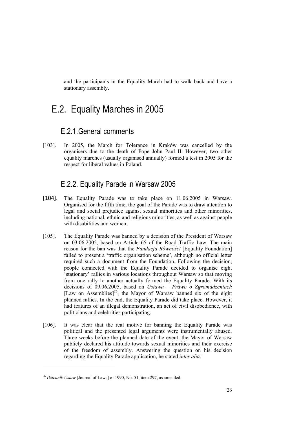and the participants in the Equality March had to walk back and have a stationary assembly.

# E.2. Equality Marches in 2005

#### E.2.1.General comments

[103]. In 2005, the March for Tolerance in Kraków was cancelled by the organisers due to the death of Pope John Paul II. However, two other equality marches (usually organised annually) formed a test in 2005 for the respect for liberal values in Poland.

#### E.2.2. Equality Parade in Warsaw 2005

- [104]. The Equality Parade was to take place on 11.06.2005 in Warsaw. Organised for the fifth time, the goal of the Parade was to draw attention to legal and social prejudice against sexual minorities and other minorities, including national, ethnic and religious minorities, as well as against people with disabilities and women.
- [105]. The Equality Parade was banned by a decision of the President of Warsaw on 03.06.2005, based on Article 65 of the Road Traffic Law. The main reason for the ban was that the *Fundacja Równości* [Equality Foundation] failed to present a 'traffic organisation scheme', although no official letter required such a document from the Foundation. Following the decision, people connected with the Equality Parade decided to organise eight 'stationary' rallies in various locations throughout Warsaw so that moving from one rally to another actually formed the Equality Parade. With its decisions of 09.06.2005, based on *Ustawa – Prawo o Zgromadzeniach* [Law on Assemblies]<sup>26</sup>, the Mayor of Warsaw banned six of the eight planned rallies. In the end, the Equality Parade did take place. However, it had features of an illegal demonstration, an act of civil disobedience, with politicians and celebrities participating.
- [106]. It was clear that the real motive for banning the Equality Parade was political and the presented legal arguments were instrumentally abused. Three weeks before the planned date of the event, the Mayor of Warsaw publicly declared his attitude towards sexual minorities and their exercise of the freedom of assembly. Answering the question on his decision regarding the Equality Parade application, he stated *inter alia:*

<sup>26</sup> *Dziennik Ustaw* [Journal of Laws] of 1990, No. 51, item 297, as amended.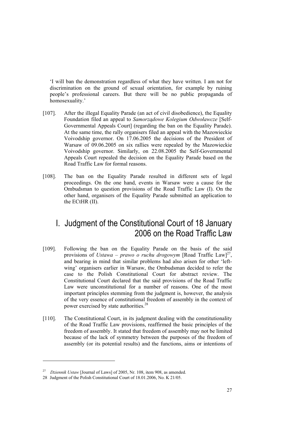'I will ban the demonstration regardless of what they have written. I am not for discrimination on the ground of sexual orientation, for example by ruining people's professional careers. But there will be no public propaganda of homosexuality.'

- [107]. After the illegal Equality Parade (an act of civil disobedience), the Equality Foundation filed an appeal to *Samorządowe Kolegium Odwoławcze* [Self-Governmental Appeals Court] (regarding the ban on the Equality Parade). At the same time, the rally organisers filed an appeal with the Mazowieckie Voivodship governor. On 17.06.2005 the decisions of the President of Warsaw of 09.06.2005 on six rallies were repealed by the Mazowieckie Voivodship governor. Similarly, on 22.08.2005 the Self-Governmental Appeals Court repealed the decision on the Equality Parade based on the Road Traffic Law for formal reasons.
- [108]. The ban on the Equality Parade resulted in different sets of legal proceedings. On the one hand, events in Warsaw were a cause for the Ombudsman to question provisions of the Road Traffic Law (I). On the other hand, organisers of the Equality Parade submitted an application to the ECtHR (II).

#### I. Judgment of the Constitutional Court of 18 January 2006 on the Road Traffic Law

- [109]. Following the ban on the Equality Parade on the basis of the said provisions of *Ustawa – prawo o ruchu drogowym* [Road Traffic Law]<sup>27</sup>, and bearing in mind that similar problems had also arisen for other 'leftwing' organisers earlier in Warsaw, the Ombudsman decided to refer the case to the Polish Constitutional Court for abstract review. The Constitutional Court declared that the said provisions of the Road Traffic Law were unconstitutional for a number of reasons. One of the most important principles stemming from the judgment is, however, the analysis of the very essence of constitutional freedom of assembly in the context of power exercised by state authorities.<sup>28</sup>
- [110]. The Constitutional Court, in its judgment dealing with the constitutionality of the Road Traffic Law provisions, reaffirmed the basic principles of the freedom of assembly. It stated that freedom of assembly may not be limited because of the lack of symmetry between the purposes of the freedom of assembly (or its potential results) and the functions, aims or intentions of

-

<sup>27</sup> *Dziennik Ustaw* [Journal of Laws] of 2005, Nr. 108, item 908, as amended.

<sup>28</sup> Judgment of the Polish Constitutional Court of 18.01.2006, No. K 21/05.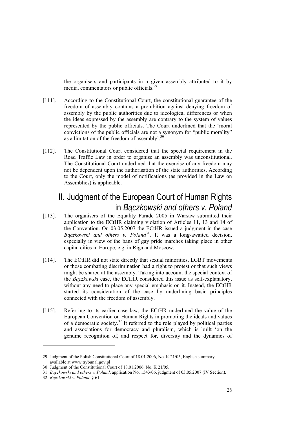the organisers and participants in a given assembly attributed to it by media, commentators or public officials.<sup>29</sup>

- [111]. According to the Constitutional Court, the constitutional guarantee of the freedom of assembly contains a prohibition against denying freedom of assembly by the public authorities due to ideological differences or when the ideas expressed by the assembly are contrary to the system of values represented by the public officials. The Court underlined that the 'moral convictions of the public officials are not a synonym for "public morality" as a limitation of the freedom of assembly'.<sup>30</sup>
- [112]. The Constitutional Court considered that the special requirement in the Road Traffic Law in order to organise an assembly was unconstitutional. The Constitutional Court underlined that the exercise of any freedom may not be dependent upon the authorisation of the state authorities. According to the Court, only the model of notifications (as provided in the Law on Assemblies) is applicable.

#### II. Judgment of the European Court of Human Rights in *Bączkowski and others v. Poland*

- [113]. The organisers of the Equality Parade 2005 in Warsaw submitted their application to the ECtHR claiming violation of Articles 11, 13 and 14 of the Convention. On 03.05.2007 the ECtHR issued a judgment in the case  $Baczkowski$  and others v. Poland<sup>31</sup>. It was a long-awaited decision, especially in view of the bans of gay pride marches taking place in other capital cities in Europe, e.g. in Riga and Moscow.
- [114]. The ECtHR did not state directly that sexual minorities, LGBT movements or those combating discrimination had a right to protest or that such views might be shared at the assembly. Taking into account the special context of the *Bączkowski* case, the ECtHR considered this issue as self-explanatory, without any need to place any special emphasis on it. Instead, the ECtHR started its consideration of the case by underlining basic principles connected with the freedom of assembly.
- [115]. Referring to its earlier case law, the ECtHR underlined the value of the European Convention on Human Rights in promoting the ideals and values of a democratic society.32 It referred to the role played by political parties and associations for democracy and pluralism, which is built 'on the genuine recognition of, and respect for, diversity and the dynamics of

-

<sup>29</sup> Judgment of the Polish Constitutional Court of 18.01.2006, No. K 21/05, English summary available at www.trybunal.gov.pl

<sup>30</sup> Judgment of the Constitutional Court of 18.01.2006, No. K 21/05.

<sup>31</sup> *Bączkowski and others v. Poland*, application No. 1543/06, judgment of 03.05.2007 (IV Section).

<sup>32</sup> *Bączkowski v. Poland*, § 61.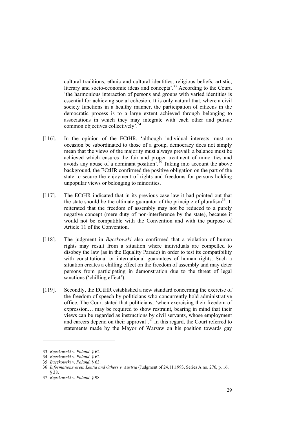cultural traditions, ethnic and cultural identities, religious beliefs, artistic, literary and socio-economic ideas and concepts'.<sup>33</sup> According to the Court, 'the harmonious interaction of persons and groups with varied identities is essential for achieving social cohesion. It is only natural that, where a civil society functions in a healthy manner, the participation of citizens in the democratic process is to a large extent achieved through belonging to associations in which they may integrate with each other and pursue common objectives collectively'.<sup>34</sup>

- [116]. In the opinion of the ECtHR, 'although individual interests must on occasion be subordinated to those of a group, democracy does not simply mean that the views of the majority must always prevail: a balance must be achieved which ensures the fair and proper treatment of minorities and avoids any abuse of a dominant position'.<sup>35</sup> Taking into account the above background, the ECtHR confirmed the positive obligation on the part of the state to secure the enjoyment of rights and freedoms for persons holding unpopular views or belonging to minorities.
- [117]. The ECtHR indicated that in its previous case law it had pointed out that the state should be the ultimate guarantor of the principle of pluralism<sup>36</sup>. It reiterated that the freedom of assembly may not be reduced to a purely negative concept (mere duty of non-interference by the state), because it would not be compatible with the Convention and with the purpose of Article 11 of the Convention.
- [118]. The judgment in *Bączkowski* also confirmed that a violation of human rights may result from a situation where individuals are compelled to disobey the law (as in the Equality Parade) in order to test its compatibility with constitutional or international guarantees of human rights. Such a situation creates a chilling effect on the freedom of assembly and may deter persons from participating in demonstration due to the threat of legal sanctions ('chilling effect').
- [119]. Secondly, the ECtHR established a new standard concerning the exercise of the freedom of speech by politicians who concurrently hold administrative office. The Court stated that politicians, 'when exercising their freedom of expression… may be required to show restraint, bearing in mind that their views can be regarded as instructions by civil servants, whose employment and careers depend on their approval'.<sup>37</sup> In this regard, the Court referred to statements made by the Mayor of Warsaw on his position towards gay

<sup>33</sup> *Bączkowski v. Poland*, § 62.

<sup>34</sup> *Bączkowski v. Poland*, § 62.

<sup>35</sup> *Bączkowski v. Poland*, § 63.

<sup>36</sup> *Informationsverein Lentia and Others v. Austria* (Judgment of 24.11.1993, Series A no. 276, p. 16, § 38.

<sup>37</sup> *Bączkowski v. Poland*, § 98.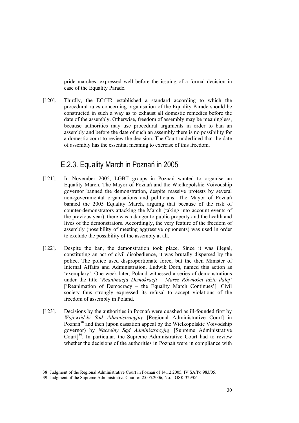pride marches, expressed well before the issuing of a formal decision in case of the Equality Parade.

[120]. Thirdly, the ECtHR established a standard according to which the procedural rules concerning organisation of the Equality Parade should be constructed in such a way as to exhaust all domestic remedies before the date of the assembly. Otherwise, freedom of assembly may be meaningless, because authorities may use procedural arguments in order to ban an assembly and before the date of such an assembly there is no possibility for a domestic court to review the decision. The Court underlined that the date of assembly has the essential meaning to exercise of this freedom.

#### E.2.3. Equality March in Poznań in 2005

- [121]. In November 2005, LGBT groups in Poznań wanted to organise an Equality March. The Mayor of Poznań and the Wielkopolskie Voivodship governor banned the demonstration, despite massive protests by several non-governmental organisations and politicians. The Mayor of Poznań banned the 2005 Equality March, arguing that because of the risk of counter-demonstrators attacking the March (taking into account events of the previous year), there was a danger to public property and the health and lives of the demonstrators. Accordingly, the very feature of the freedom of assembly (possibility of meeting aggressive opponents) was used in order to exclude the possibility of the assembly at all.
- [122]. Despite the ban, the demonstration took place. Since it was illegal, constituting an act of civil disobedience, it was brutally dispersed by the police. The police used disproportionate force, but the then Minister of Internal Affairs and Administration, Ludwik Dorn, named this action as 'exemplary'. One week later, Poland witnessed a series of demonstrations under the title '*Reanimacja Demokracji – Marsz Równości idzie dalej'* ['Reanimation of Democracy – the Equality March Continues']. Civil society thus strongly expressed its refusal to accept violations of the freedom of assembly in Poland.
- [123]. Decisions by the authorities in Poznań were quashed as ill-founded first by *Wojewódzki Sąd Administracyjny* [Regional Administrative Court] in Poznań<sup>38</sup> and then (upon cassation appeal by the Wielkopolskie Voivodship governor) by *Naczelny Sąd Administracyjny* [Supreme Administrative Court]<sup>39</sup>. In particular, the Supreme Administrative Court had to review whether the decisions of the authorities in Poznań were in compliance with

-

<sup>38</sup> Judgment of the Regional Administrative Court in Poznań of 14.12.2005, IV SA/Po 983/05.

<sup>39</sup> Judgment of the Supreme Administrative Court of 25.05.2006, No. I OSK 329/06.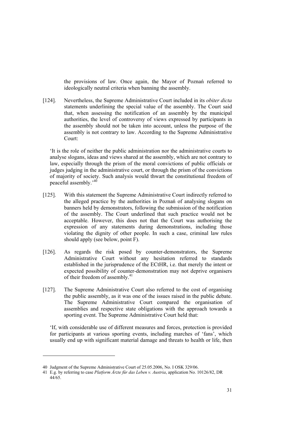the provisions of law. Once again, the Mayor of Poznań referred to ideologically neutral criteria when banning the assembly.

[124]. Nevertheless, the Supreme Administrative Court included in its *obiter dicta*  statements underlining the special value of the assembly. The Court said that, when assessing the notification of an assembly by the municipal authorities, the level of controversy of views expressed by participants in the assembly should not be taken into account, unless the purpose of the assembly is not contrary to law. According to the Supreme Administrative Court:

'It is the role of neither the public administration nor the administrative courts to analyse slogans, ideas and views shared at the assembly, which are not contrary to law, especially through the prism of the moral convictions of public officials or judges judging in the administrative court, or through the prism of the convictions of majority of society. Such analysis would thwart the constitutional freedom of peaceful assembly.'40

- [125]. With this statement the Supreme Administrative Court indirectly referred to the alleged practice by the authorities in Poznań of analysing slogans on banners held by demonstrators, following the submission of the notification of the assembly. The Court underlined that such practice would not be acceptable. However, this does not that the Court was authorising the expression of any statements during demonstrations, including those violating the dignity of other people. In such a case, criminal law rules should apply (see below, point F).
- [126]. As regards the risk posed by counter-demonstrators, the Supreme Administrative Court without any hesitation referred to standards established in the jurisprudence of the ECtHR, i.e. that merely the intent or expected possibility of counter-demonstration may not deprive organisers of their freedom of assembly.<sup>41</sup>
- [127]. The Supreme Administrative Court also referred to the cost of organising the public assembly, as it was one of the issues raised in the public debate. The Supreme Administrative Court compared the organisation of assemblies and respective state obligations with the approach towards a sporting event. The Supreme Administrative Court held that:

'If, with considerable use of different measures and forces, protection is provided for participants at various sporting events, including marches of 'fans', which usually end up with significant material damage and threats to health or life, then

<sup>40</sup> Judgment of the Supreme Administrative Court of 25.05.2006, No. I OSK 329/06.

<sup>41</sup> E.g. by referring to case *Platform Ärzte für das Leben v. Austria*, application No. 10126/82, DR 44/65.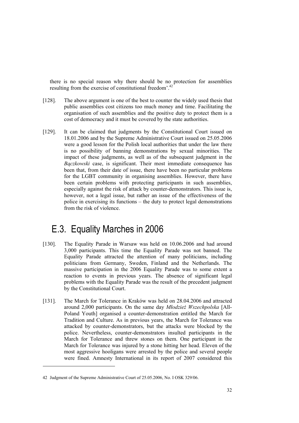there is no special reason why there should be no protection for assemblies resulting from the exercise of constitutional freedom'.<sup>4</sup>

- [128]. The above argument is one of the best to counter the widely used thesis that public assemblies cost citizens too much money and time. Facilitating the organisation of such assemblies and the positive duty to protect them is a cost of democracy and it must be covered by the state authorities.
- [129]. It can be claimed that judgments by the Constitutional Court issued on 18.01.2006 and by the Supreme Administrative Court issued on 25.05.2006 were a good lesson for the Polish local authorities that under the law there is no possibility of banning demonstrations by sexual minorities. The impact of these judgments, as well as of the subsequent judgment in the *Bączkowski* case, is significant. Their most immediate consequence has been that, from their date of issue, there have been no particular problems for the LGBT community in organising assemblies. However, there have been certain problems with protecting participants in such assemblies, especially against the risk of attack by counter-demonstrators. This issue is, however, not a legal issue, but rather an issue of the effectiveness of the police in exercising its functions – the duty to protect legal demonstrations from the risk of violence.

# E.3. Equality Marches in 2006

- [130]. The Equality Parade in Warsaw was held on 10.06.2006 and had around 3,000 participants. This time the Equality Parade was not banned. The Equality Parade attracted the attention of many politicians, including politicians from Germany, Sweden, Finland and the Netherlands. The massive participation in the 2006 Equality Parade was to some extent a reaction to events in previous years. The absence of significant legal problems with the Equality Parade was the result of the precedent judgment by the Constitutional Court.
- [131]. The March for Tolerance in Kraków was held on 28.04.2006 and attracted around 2,000 participants. On the same day *Młodzież Wszechpolska* [All-Poland Youth] organised a counter-demonstration entitled the March for Tradition and Culture. As in previous years, the March for Tolerance was attacked by counter-demonstrators, but the attacks were blocked by the police. Nevertheless, counter-demonstrators insulted participants in the March for Tolerance and threw stones on them. One participant in the March for Tolerance was injured by a stone hitting her head. Eleven of the most aggressive hooligans were arrested by the police and several people were fined. Amnesty International in its report of 2007 considered this

<sup>42</sup> Judgment of the Supreme Administrative Court of 25.05.2006, No. I OSK 329/06.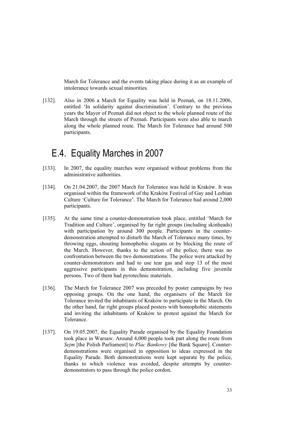March for Tolerance and the events taking place during it as an example of intolerance towards sexual minorities.

[132]. Also in 2006 a March for Equality was held in Poznań, on 18.11.2006, entitled 'In solidarity against discrimination'. Contrary to the previous years the Mayor of Poznań did not object to the whole planned route of the March through the streets of Poznań. Participants were also able to march along the whole planned route. The March for Tolerance had around 500 participants.

## E.4. Equality Marches in 2007

- [133]. In 2007, the equality marches were organised without problems from the administrative authorities.
- [134]. On 21.04.2007, the 2007 March for Tolerance was held in Kraków. It was organised within the framework of the Kraków Festival of Gay and Lesbian Culture 'Culture for Tolerance'. The March for Tolerance had around 2,000 participants.
- [135]. At the same time a counter-demonstration took place, entitled 'March for Tradition and Culture', organised by far right groups (including skinheads) with participation by around 300 people. Participants in the counterdemonstration attempted to disturb the March of Tolerance many times, by throwing eggs, shouting homophobic slogans or by blocking the route of the March. However, thanks to the action of the police, there was no confrontation between the two demonstrations. The police were attacked by counter-demonstrators and had to use tear gas and stop 13 of the most aggressive participants in this demonstration, including five juvenile persons. Two of them had pyrotechnic materials.
- [136]. The March for Tolerance 2007 was preceded by poster campaigns by two opposing groups. On the one hand, the organisers of the March for Tolerance invited the inhabitants of Kraków to participate in the March. On the other hand, far right groups placed posters with homophobic statements and inviting the inhabitants of Kraków to protest against the March for Tolerance.
- [137]. On 19.05.2007, the Equality Parade organised by the Equality Foundation took place in Warsaw. Around 4,000 people took part along the route from *Sejm* [the Polish Parliament] to *Plac Bankowy* [the Bank Square]. Counterdemonstrations were organised in opposition to ideas expressed in the Equality Parade. Both demonstrations were kept separate by the police, thanks to which violence was avoided, despite attempts by counterdemonstrators to pass through the police cordon.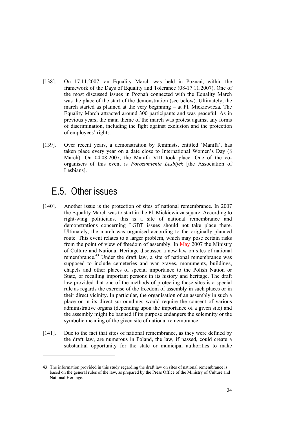- [138]. On 17.11.2007, an Equality March was held in Poznań, within the framework of the Days of Equality and Tolerance (08-17.11.2007). One of the most discussed issues in Poznań connected with the Equality March was the place of the start of the demonstration (see below). Ultimately, the march started as planned at the very beginning – at Pl. Mickiewicza. The Equality March attracted around 300 participants and was peaceful. As in previous years, the main theme of the march was protest against any forms of discrimination, including the fight against exclusion and the protection of employees' rights.
- [139]. Over recent years, a demonstration by feminists, entitled 'Manifa', has taken place every year on a date close to International Women's Day (8 March). On 04.08.2007, the Manifa VIII took place. One of the coorganisers of this event is *Porozumienie Lesbijek* [the Association of Lesbians].

## E.5. Other issues

- [140]. Another issue is the protection of sites of national remembrance. In 2007 the Equality March was to start in the Pl. Mickiewicza square. According to right-wing politicians, this is a site of national remembrance and demonstrations concerning LGBT issues should not take place there. Ultimately, the march was organised according to the originally planned route. This event relates to a larger problem, which may pose certain risks from the point of view of freedom of assembly. In May 2007 the Ministry of Culture and National Heritage discussed a new law on sites of national remembrance.<sup>43</sup> Under the draft law, a site of national remembrance was supposed to include cemeteries and war graves, monuments, buildings, chapels and other places of special importance to the Polish Nation or State, or recalling important persons in its history and heritage. The draft law provided that one of the methods of protecting these sites is a special rule as regards the exercise of the freedom of assembly in such places or in their direct vicinity. In particular, the organisation of an assembly in such a place or in its direct surroundings would require the consent of various administrative organs (depending upon the importance of a given site) and the assembly might be banned if its purpose endangers the solemnity or the symbolic meaning of the given site of national remembrance.
- [141]. Due to the fact that sites of national remembrance, as they were defined by the draft law, are numerous in Poland, the law, if passed, could create a substantial opportunity for the state or municipal authorities to make

<sup>43</sup> The information provided in this study regarding the draft law on sites of national remembrance is based on the general rules of the law, as prepared by the Press Office of the Ministry of Culture and National Heritage.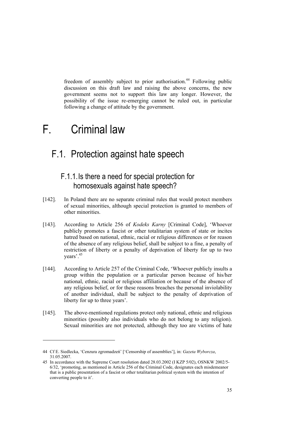freedom of assembly subject to prior authorisation.<sup>44</sup> Following public discussion on this draft law and raising the above concerns, the new government seems not to support this law any longer. However, the possibility of the issue re-emerging cannot be ruled out, in particular following a change of attitude by the government.

# F. Criminal law

1

### F.1. Protection against hate speech

#### F.1.1.Is there a need for special protection for homosexuals against hate speech?

- [142]. In Poland there are no separate criminal rules that would protect members of sexual minorities, although special protection is granted to members of other minorities.
- [143]. According to Article 256 of *Kodeks Karny* [Criminal Code], 'Whoever publicly promotes a fascist or other totalitarian system of state or incites hatred based on national, ethnic, racial or religious differences or for reason of the absence of any religious belief, shall be subject to a fine, a penalty of restriction of liberty or a penalty of deprivation of liberty for up to two years'.45
- [144]. According to Article 257 of the Criminal Code, 'Whoever publicly insults a group within the population or a particular person because of his/her national, ethnic, racial or religious affiliation or because of the absence of any religious belief, or for these reasons breaches the personal inviolability of another individual, shall be subject to the penalty of deprivation of liberty for up to three years'.
- [145]. The above-mentioned regulations protect only national, ethnic and religious minorities (possibly also individuals who do not belong to any religion). Sexual minorities are not protected, although they too are victims of hate

<sup>44</sup> Cf E. Siedlecka, 'Cenzura zgromadzeń' ['Censorship of assemblies'], in: *Gazeta Wyborcza*, 31.05.2007.

<sup>45</sup> In accordance with the Supreme Court resolution dated 28.03.2002 (I KZP 5/02), OSNKW 2002/5- 6/32, 'promoting, as mentioned in Article 256 of the Criminal Code, designates each misdemeanor that is a public presentation of a fascist or other totalitarian political system with the intention of converting people to it'.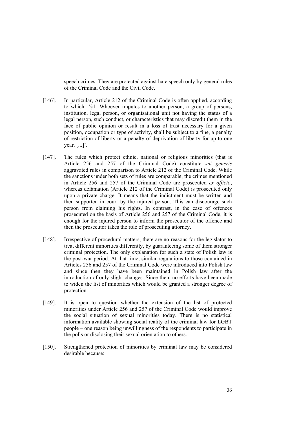speech crimes. They are protected against hate speech only by general rules of the Criminal Code and the Civil Code.

- [146]. In particular, Article 212 of the Criminal Code is often applied, according to which: '§1. Whoever imputes to another person, a group of persons, institution, legal person, or organisational unit not having the status of a legal person, such conduct, or characteristics that may discredit them in the face of public opinion or result in a loss of trust necessary for a given position, occupation or type of activity, shall be subject to a fine, a penalty of restriction of liberty or a penalty of deprivation of liberty for up to one year. [...]'.
- [147]. The rules which protect ethnic, national or religious minorities (that is Article 256 and 257 of the Criminal Code) constitute *sui generis* aggravated rules in comparison to Article 212 of the Criminal Code. While the sanctions under both sets of rules are comparable, the crimes mentioned in Article 256 and 257 of the Criminal Code are prosecuted *ex officio*, whereas defamation (Article 212 of the Criminal Code) is prosecuted only upon a private charge. It means that the indictment must be written and then supported in court by the injured person. This can discourage such person from claiming his rights. In contrast, in the case of offences prosecuted on the basis of Article 256 and 257 of the Criminal Code, it is enough for the injured person to inform the prosecutor of the offence and then the prosecutor takes the role of prosecuting attorney.
- [148]. Irrespective of procedural matters, there are no reasons for the legislator to treat different minorities differently, by guaranteeing some of them stronger criminal protection. The only explanation for such a state of Polish law is the post-war period. At that time, similar regulations to those contained in Articles 256 and 257 of the Criminal Code were introduced into Polish law and since then they have been maintained in Polish law after the introduction of only slight changes. Since then, no efforts have been made to widen the list of minorities which would be granted a stronger degree of protection.
- [149]. It is open to question whether the extension of the list of protected minorities under Article 256 and 257 of the Criminal Code would improve the social situation of sexual minorities today. There is no statistical information available showing social reality of the criminal law for LGBT people – one reason being unwillingness of the respondents to participate in the polls or disclosing their sexual orientation to others.
- [150]. Strengthened protection of minorities by criminal law may be considered desirable because: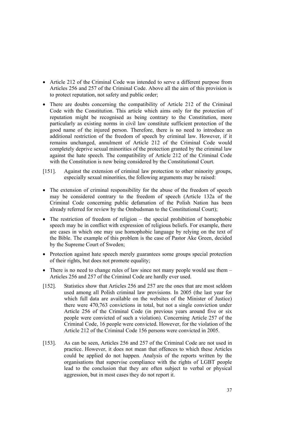- Article 212 of the Criminal Code was intended to serve a different purpose from Articles 256 and 257 of the Criminal Code. Above all the aim of this provision is to protect reputation, not safety and public order;
- There are doubts concerning the compatibility of Article 212 of the Criminal Code with the Constitution. This article which aims only for the protection of reputation might be recognised as being contrary to the Constitution, more particularly as existing norms in civil law constitute sufficient protection of the good name of the injured person. Therefore, there is no need to introduce an additional restriction of the freedom of speech by criminal law. However, if it remains unchanged, annulment of Article 212 of the Criminal Code would completely deprive sexual minorities of the protection granted by the criminal law against the hate speech. The compatibility of Article 212 of the Criminal Code with the Constitution is now being considered by the Constitutional Court.
- [151]. Against the extension of criminal law protection to other minority groups, especially sexual minorities, the following arguments may be raised:
- The extension of criminal responsibility for the abuse of the freedom of speech may be considered contrary to the freedom of speech (Article 132a of the Criminal Code concerning public defamation of the Polish Nation has been already referred for review by the Ombudsman to the Constitutional Court);
- The restriction of freedom of religion the special prohibition of homophobic speech may be in conflict with expression of religious beliefs. For example, there are cases in which one may use homophobic language by relying on the text of the Bible. The example of this problem is the case of Pastor Ake Green, decided by the Supreme Court of Sweden;
- Protection against hate speech merely guarantees some groups special protection of their rights, but does not promote equality;
- There is no need to change rules of law since not many people would use them Articles 256 and 257 of the Criminal Code are hardly ever used.
- [152]. Statistics show that Articles 256 and 257 are the ones that are most seldom used among all Polish criminal law provisions. In 2005 (the last year for which full data are available on the websites of the Minister of Justice) there were 470,763 convictions in total, but not a single conviction under Article 256 of the Criminal Code (in previous years around five or six people were convicted of such a violation). Concerning Article 257 of the Criminal Code, 16 people were convicted. However, for the violation of the Article 212 of the Criminal Code 156 persons were convicted in 2005.
- [153]. As can be seen, Articles 256 and 257 of the Criminal Code are not used in practice. However, it does not mean that offences to which these Articles could be applied do not happen. Analysis of the reports written by the organisations that supervise compliance with the rights of LGBT people lead to the conclusion that they are often subject to verbal or physical aggression, but in most cases they do not report it.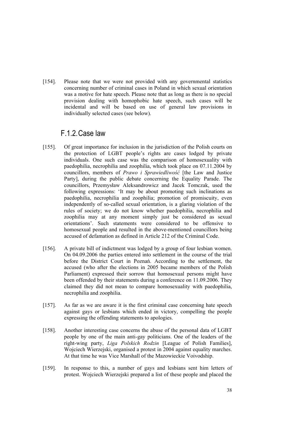[154]. Please note that we were not provided with any governmental statistics concerning number of criminal cases in Poland in which sexual orientation was a motive for hate speech. Please note that as long as there is no special provision dealing with homophobic hate speech, such cases will be incidental and will be based on use of general law provisions in individually selected cases (see below).

### F.1.2.Case law

- [155]. Of great importance for inclusion in the jurisdiction of the Polish courts on the protection of LGBT people's rights are cases lodged by private individuals. One such case was the comparison of homosexuality with paedophilia, necrophilia and zoophilia, which took place on 07.11.2004 by councillors, members of *Prawo i Sprawiedliwość* [the Law and Justice Party], during the public debate concerning the Equality Parade. The councillors, Przemysław Aleksandrowicz and Jacek Tomczak, used the following expressions: 'It may be about promoting such inclinations as paedophilia, necrophilia and zoophilia; promotion of promiscuity, even independently of so-called sexual orientation, is a glaring violation of the rules of society; we do not know whether paedophilia, necrophilia and zoophilia may at any moment simply just be considered as sexual orientations'. Such statements were considered to be offensive to homosexual people and resulted in the above-mentioned councillors being accused of defamation as defined in Article 212 of the Criminal Code.
- [156]. A private bill of indictment was lodged by a group of four lesbian women. On 04.09.2006 the parties entered into settlement in the course of the trial before the District Court in Poznań. According to the settlement, the accused (who after the elections in 2005 became members of the Polish Parliament) expressed their sorrow that homosexual persons might have been offended by their statements during a conference on 11.09.2006. They claimed they did not mean to compare homosexuality with paedophilia, necrophilia and zoophilia.
- [157]. As far as we are aware it is the first criminal case concerning hate speech against gays or lesbians which ended in victory, compelling the people expressing the offending statements to apologies.
- [158]. Another interesting case concerns the abuse of the personal data of LGBT people by one of the main anti-gay politicians. One of the leaders of the right-wing party, *Liga Polskich Rodzin* [League of Polish Families], Wojciech Wierzejski, organised a protest in 2004 against equality marches. At that time he was Vice Marshall of the Mazowieckie Voivodship.
- [159]. In response to this, a number of gays and lesbians sent him letters of protest. Wojciech Wierzejski prepared a list of these people and placed the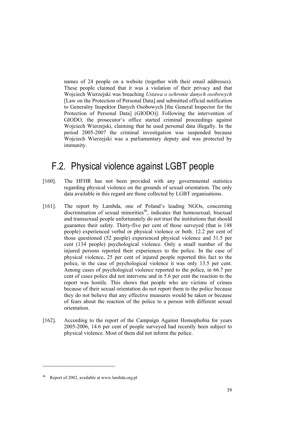names of 24 people on a website (together with their email addresses). These people claimed that it was a violation of their privacy and that Wojciech Wierzejski was breaching *Ustawa o ochronie danych osobowych* [Law on the Protection of Personal Data] and submitted official notification to Generalny Inspektor Danych Osobowych [the General Inspector for the Protection of Personal Data] (GIODO)]. Following the intervention of GIODO, the prosecutor's office started criminal proceedings against Wojciech Wierzejski, claiming that he used personal data illegally. In the period 2005-2007 the criminal investigation was suspended because Wojciech Wierzejski was a parliamentary deputy and was protected by immunity.

# F.2. Physical violence against LGBT people

- [160]. The HFHR has not been provided with any governmental statistics regarding physical violence on the grounds of sexual orientation. The only data available in this regard are those collected by LGBT organisations.
- [161]. The report by Lambda, one of Poland's leading NGOs, concerning discrimination of sexual minorities<sup>46</sup>, indicates that homosexual, bisexual and transsexual people unfortunately do not trust the institutions that should guarantee their safety. Thirty-five per cent of those surveyed (that is 148 people) experienced verbal or physical violence or both. 12.2 per cent of those questioned (52 people) experienced physical violence and 31.5 per cent (134 people) psychological violence. Only a small number of the injured persons reported their experiences to the police. In the case of physical violence, 25 per cent of injured people reported this fact to the police, in the case of psychological violence it was only 13.5 per cent. Among cases of psychological violence reported to the police, in 66.7 per cent of cases police did not intervene and in 5.6 per cent the reaction to the report was hostile. This shows that people who are victims of crimes because of their sexual orientation do not report them to the police because they do not believe that any effective measures would be taken or because of fears about the reaction of the police to a person with different sexual orientation.
- [162]. According to the report of the Campaign Against Homophobia for years 2005-2006, 14.6 per cent of people surveyed had recently been subject to physical violence. Most of them did not inform the police.

Report of 2002, available at www.lambda.org.pl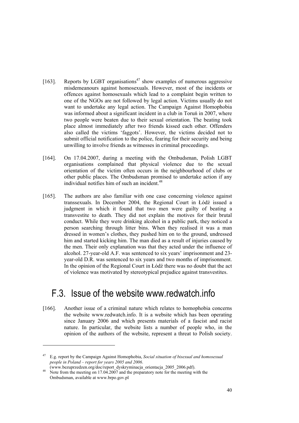- [163]. Reports by LGBT organisations<sup>47</sup> show examples of numerous aggressive misdemeanours against homosexuals. However, most of the incidents or offences against homosexuals which lead to a complaint begin written to one of the NGOs are not followed by legal action. Victims usually do not want to undertake any legal action. The Campaign Against Homophobia was informed about a significant incident in a club in Toruń in 2007, where two people were beaten due to their sexual orientation. The beating took place almost immediately after two friends kissed each other. Offenders also called the victims 'faggots'. However, the victims decided not to submit official notification to the police, fearing for their security and being unwilling to involve friends as witnesses in criminal proceedings.
- [164]. On 17.04.2007, during a meeting with the Ombudsman, Polish LGBT organisations complained that physical violence due to the sexual orientation of the victim often occurs in the neighbourhood of clubs or other public places. The Ombudsman promised to undertake action if any individual notifies him of such an incident. $48$
- [165]. The authors are also familiar with one case concerning violence against transsexuals. In December 2004, the Regional Court in Łódź issued a judgment in which it found that two men were guilty of beating a transvestite to death. They did not explain the motives for their brutal conduct. While they were drinking alcohol in a public park, they noticed a person searching through litter bins. When they realised it was a man dressed in women's clothes, they pushed him on to the ground, undressed him and started kicking him. The man died as a result of injuries caused by the men. Their only explanation was that they acted under the influence of alcohol. 27-year-old A.F. was sentenced to six years' imprisonment and 23 year-old D.R. was sentenced to six years and two months of imprisonment. In the opinion of the Regional Court in Łódź there was no doubt that the act of violence was motivated by stereotypical prejudice against transvestites.

## F.3. Issue of the website www.redwatch.info

[166]. Another issue of a criminal nature which relates to homophobia concerns the website www.redwatch.info. It is a website which has been operating since January 2006 and which presents materials of a fascist and racist nature. In particular, the website lists a number of people who, in the opinion of the authors of the website, represent a threat to Polish society.

-

<sup>47</sup> E.g. report by the Campaign Against Homophobia, *Social situation of bisexual and homosexual people in Poland – report for years 2005 and 2006*.

<sup>(</sup>www.bezuprzedzen.org/doc/report\_dyskryminacja\_orientacja\_2005\_2006.pdf). 48 Note from the meeting on 17.04.2007 and the preparatory note for the meeting with the

Ombudsman, available at www.brpo.gov.pl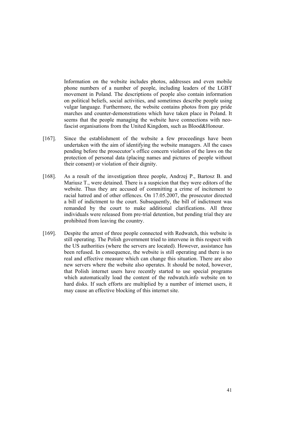Information on the website includes photos, addresses and even mobile phone numbers of a number of people, including leaders of the LGBT movement in Poland. The descriptions of people also contain information on political beliefs, social activities, and sometimes describe people using vulgar language. Furthermore, the website contains photos from gay pride marches and counter-demonstrations which have taken place in Poland. It seems that the people managing the website have connections with neofascist organisations from the United Kingdom, such as Blood&Honour.

- [167]. Since the establishment of the website a few proceedings have been undertaken with the aim of identifying the website managers. All the cases pending before the prosecutor's office concern violation of the laws on the protection of personal data (placing names and pictures of people without their consent) or violation of their dignity.
- [168]. As a result of the investigation three people, Andrzej P., Bartosz B. and Mariusz T., were detained. There is a suspicion that they were editors of the website. Thus they are accused of committing a crime of incitement to racial hatred and of other offences. On 17.05.2007, the prosecutor directed a bill of indictment to the court. Subsequently, the bill of indictment was remanded by the court to make additional clarifications. All three individuals were released from pre-trial detention, but pending trial they are prohibited from leaving the country.
- [169]. Despite the arrest of three people connected with Redwatch, this website is still operating. The Polish government tried to intervene in this respect with the US authorities (where the servers are located). However, assistance has been refused. In consequence, the website is still operating and there is no real and effective measure which can change this situation. There are also new servers where the website also operates. It should be noted, however, that Polish internet users have recently started to use special programs which automatically load the content of the redwatch.info website on to hard disks. If such efforts are multiplied by a number of internet users, it may cause an effective blocking of this internet site.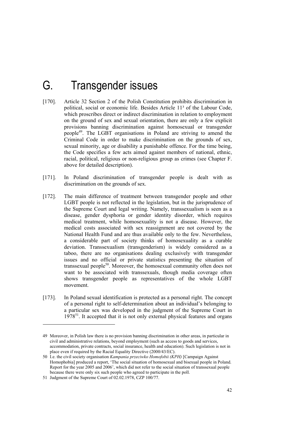# G. Transgender issues

- [170]. Article 32 Section 2 of the Polish Constitution prohibits discrimination in political, social or economic life. Besides Article 11³ of the Labour Code, which proscribes direct or indirect discrimination in relation to employment on the ground of sex and sexual orientation, there are only a few explicit provisions banning discrimination against homosexual or transgender people49. The LGBT organisations in Poland are striving to amend the Criminal Code in order to make discrimination on the grounds of sex, sexual minority, age or disability a punishable offence. For the time being, the Code specifies a few acts aimed against members of national, ethnic, racial, political, religious or non-religious group as crimes (see Chapter F. above for detailed description).
- [171]. In Poland discrimination of transgender people is dealt with as discrimination on the grounds of sex.
- [172]. The main difference of treatment between transgender people and other LGBT people is not reflected in the legislation, but in the jurisprudence of the Supreme Court and legal writing. Namely, transsexualism is seen as a disease, gender dysphoria or gender identity disorder, which requires medical treatment, while homosexuality is not a disease. However, the medical costs associated with sex reassignment are not covered by the National Health Fund and are thus available only to the few. Nevertheless, a considerable part of society thinks of homosexuality as a curable deviation. Transsexualism (transgenderism) is widely considered as a taboo, there are no organisations dealing exclusively with transgender issues and no official or private statistics presenting the situation of transsexual people<sup>50</sup>. Moreover, the homosexual community often does not want to be associated with transsexuals, though media coverage often shows transgender people as representatives of the whole LGBT movement.
- [173]. In Poland sexual identification is protected as a personal right. The concept of a personal right to self-determination about an individual's belonging to a particular sex was developed in the judgment of the Supreme Court in  $1978<sup>51</sup>$ . It accepted that it is not only external physical features and organs

<sup>49</sup> Moreover, in Polish law there is no provision banning discrimination in other areas, in particular in civil and administrative relations, beyond employment (such as access to goods and services, accommodation, private contracts, social insurance, health and education). Such legislation is not in place even if required by the Racial Equality Directive (2000/43/EC).

<sup>50</sup> I.e. the civil society organisation *Kampania przeciwko Homofobii (KPH)* [Campaign Against Homophobia] produced a report, 'The social situation of homosexual and bisexual people in Poland. Report for the year 2005 and 2006', which did not refer to the social situation of transsexual people because there were only six such people who agreed to participate in the poll.

<sup>51</sup> Judgment of the Supreme Court of 02.02.1978, CZP 100/77.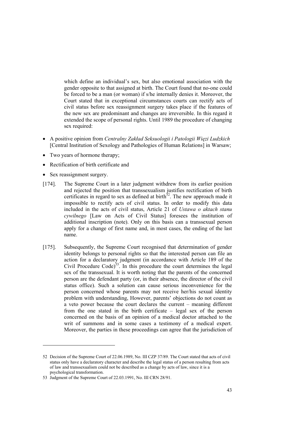which define an individual's sex, but also emotional association with the gender opposite to that assigned at birth. The Court found that no-one could be forced to be a man (or woman) if s/he internally denies it. Moreover, the Court stated that in exceptional circumstances courts can rectify acts of civil status before sex reassignment surgery takes place if the features of the new sex are predominant and changes are irreversible. In this regard it extended the scope of personal rights. Until 1989 the procedure of changing sex required:

- A positive opinion from *Centralny Zakład Seksuologii i Patologii Więzi Ludzkich*  [Central Institution of Sexology and Pathologies of Human Relations] in Warsaw;
- Two years of hormone therapy;
- Rectification of birth certificate and
- Sex reassignment surgery.

-

- [174]. The Supreme Court in a later judgment withdrew from its earlier position and rejected the position that transsexualism justifies rectification of birth certificates in regard to sex as defined at birth $5<sup>52</sup>$ . The new approach made it impossible to rectify acts of civil status. In order to modify this data included in the acts of civil status, Article 21 of *Ustawa o aktach stanu cywilnego* [Law on Acts of Civil Status] foresees the institution of additional inscription (note). Only on this basis can a transsexual person apply for a change of first name and, in most cases, the ending of the last name.
- [175]. Subsequently, the Supreme Court recognised that determination of gender identity belongs to personal rights so that the interested person can file an action for a declaratory judgment (in accordance with Article 189 of the Civil Procedure Code)<sup>53</sup>. In this procedure the court determines the legal sex of the transsexual. It is worth noting that the parents of the concerned person are the defendant party (or, in their absence, the director of the civil status office). Such a solution can cause serious inconvenience for the person concerned whose parents may not receive her/his sexual identity problem with understanding, However, parents' objections do not count as a veto power because the court declares the current – meaning different from the one stated in the birth certificate – legal sex of the person concerned on the basis of an opinion of a medical doctor attached to the writ of summons and in some cases a testimony of a medical expert. Moreover, the parties in these proceedings can agree that the jurisdiction of

<sup>52</sup> Decision of the Supreme Court of 22.06.1989, No. III CZP 37/89. The Court stated that acts of civil status only have a declaratory character and describe the legal status of a person resulting from acts of law and transsexualism could not be described as a change by acts of law, since it is a psychological transformation.

<sup>53</sup> Judgment of the Supreme Court of 22.03.1991, No. III CRN 28/91.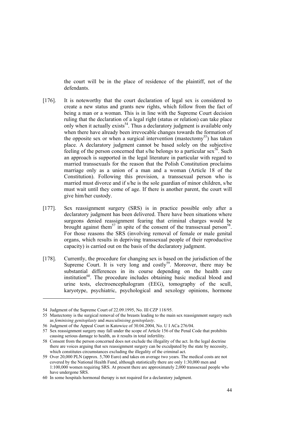the court will be in the place of residence of the plaintiff, not of the defendants.

- [176]. It is noteworthy that the court declaration of legal sex is considered to create a new status and grants new rights, which follow from the fact of being a man or a woman. This is in line with the Supreme Court decision ruling that the declaration of a legal right (status or relation) can take place only when it actually exists<sup>54</sup>. Thus a declaratory judgment is available only when there have already been irrevocable changes towards the formation of the opposite sex or when a surgical intervention (mastectomy<sup>55</sup>) has taken place. A declaratory judgment cannot be based solely on the subjective feeling of the person concerned that s/he belongs to a particular sex<sup>56</sup>. Such an approach is supported in the legal literature in particular with regard to married transsexuals for the reason that the Polish Constitution proclaims marriage only as a union of a man and a woman (Article 18 of the Constitution). Following this provision, a transsexual person who is married must divorce and if s/he is the sole guardian of minor children, s/he must wait until they come of age. If there is another parent, the court will give him/her custody.
- [177]. Sex reassignment surgery (SRS) is in practice possible only after a declaratory judgment has been delivered. There have been situations where surgeons denied reassignment fearing that criminal charges would be brought against them<sup>57</sup> in spite of the consent of the transsexual person<sup>58</sup>. For those reasons the SRS (involving removal of female or male genital organs, which results in depriving transsexual people of their reproductive capacity) is carried out on the basis of the declaratory judgment.
- [178]. Currently, the procedure for changing sex is based on the jurisdiction of the Supreme Court. It is very long and costly<sup>59</sup>. Moreover, there may be substantial differences in its course depending on the health care institution $^{60}$ . The procedure includes obtaining basic medical blood and urine tests, electroencephalogram (EEG), tomography of the scull, karyotype, psychiatric, psychological and sexology opinions, hormone

<sup>54</sup> Judgment of the Supreme Court of 22.09.1995, No. III CZP 118/95.

<sup>55</sup> Mastectomy is the surgical removal of the breasts leading to the main sex reassignment surgery such as *feminising genitoplasty* and *masculinising genitoplasty*.

<sup>56</sup> Judgment of the Appeal Court in Katowice of 30.04.2004, No. U I ACa 276/04.

<sup>57</sup> Sex reassignment surgery may fall under the scope of Article 156 of the Penal Code that prohibits causing serious damage to health, as it results in total infertility.

<sup>58</sup> Consent from the person concerned does not exclude the illegality of the act. In the legal doctrine there are voices arguing that sex reassignment surgery can be exculpated by the state by necessity, which constitutes circumstances excluding the illegality of the criminal act.

<sup>59</sup> Over 20,000 PLN (approx. 5,700 Euro) and takes on average two years. The medical costs are not covered by the National Health Fund, although statistically there are only 1:30,000 men and 1:100,000 women requiring SRS. At present there are approximately 2,000 transsexual people who have undergone SRS.

<sup>60</sup> In some hospitals hormonal therapy is not required for a declaratory judgment.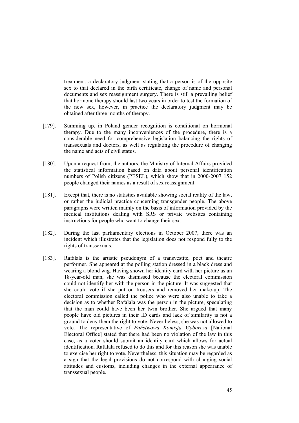treatment, a declaratory judgment stating that a person is of the opposite sex to that declared in the birth certificate, change of name and personal documents and sex reassignment surgery. There is still a prevailing belief that hormone therapy should last two years in order to test the formation of the new sex, however, in practice the declaratory judgment may be obtained after three months of therapy.

- [179]. Summing up, in Poland gender recognition is conditional on hormonal therapy. Due to the many inconveniences of the procedure, there is a considerable need for comprehensive legislation balancing the rights of transsexuals and doctors, as well as regulating the procedure of changing the name and acts of civil status.
- [180]. Upon a request from, the authors, the Ministry of Internal Affairs provided the statistical information based on data about personal identification numbers of Polish citizens (PESEL), which show that in 2000-2007 152 people changed their names as a result of sex reassignment.
- [181]. Except that, there is no statistics available showing social reality of the law, or rather the judicial practice concerning transgender people. The above paragraphs were written mainly on the basis of information provided by the medical institutions dealing with SRS or private websites containing instructions for people who want to change their sex.
- [182]. During the last parliamentary elections in October 2007, there was an incident which illustrates that the legislation does not respond fully to the rights of transsexuals.
- [183]. Rafalala is the artistic pseudonym of a transvestite, poet and theatre performer. She appeared at the polling station dressed in a black dress and wearing a blond wig. Having shown her identity card with her picture as an 18-year-old man, she was dismissed because the electoral commission could not identify her with the person in the picture. It was suggested that she could vote if she put on trousers and removed her make-up. The electoral commission called the police who were also unable to take a decision as to whether Rafalala was the person in the picture, speculating that the man could have been her twin brother. She argued that many people have old pictures in their ID cards and lack of similarity is not a ground to deny them the right to vote. Nevertheless, she was not allowed to vote. The representative of *Państwowa Komisja Wyborcza* [National Electoral Office] stated that there had been no violation of the law in this case, as a voter should submit an identity card which allows for actual identification. Rafalala refused to do this and for this reason she was unable to exercise her right to vote. Nevertheless, this situation may be regarded as a sign that the legal provisions do not correspond with changing social attitudes and customs, including changes in the external appearance of transsexual people.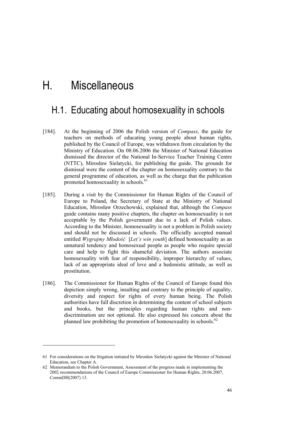# H. Miscellaneous

## H.1. Educating about homosexuality in schools

- [184]. At the beginning of 2006 the Polish version of *Compass*, the guide for teachers on methods of educating young people about human rights, published by the Council of Europe, was withdrawn from circulation by the Ministry of Education. On 08.06.2006 the Minister of National Education dismissed the director of the National In-Service Teacher Training Centre (NTTC), Mirosław Sielatycki, for publishing the guide. The grounds for dismissal were the content of the chapter on homosexuality contrary to the general programme of education, as well as the charge that the publication promoted homosexuality in schools.<sup>61</sup>
- [185]. During a visit by the Commissioner for Human Rights of the Council of Europe to Poland, the Secretary of State at the Ministry of National Education, Mirosław Orzechowski, explained that, although the *Compass*  guide contains many positive chapters, the chapter on homosexuality is not acceptable by the Polish government due to a lack of Polish values. According to the Minister, homosexuality is not a problem in Polish society and should not be discussed in schools. The officially accepted manual entitled *Wygrajmy Młodość* [*Let's win youth*] defined homosexuality as an unnatural tendency and homosexual people as people who require special care and help to fight this shameful deviation. The authors associate homosexuality with fear of responsibility, improper hierarchy of values, lack of an appropriate ideal of love and a hedonistic attitude, as well as prostitution.
- [186]. The Commissioner for Human Rights of the Council of Europe found this depiction simply wrong, insulting and contrary to the principle of equality, diversity and respect for rights of every human being. The Polish authorities have full discretion in determining the content of school subjects and books, but the principles regarding human rights and nondiscrimination are not optional. He also expressed his concern about the planned law prohibiting the promotion of homosexuality in schools. $62$

-

<sup>61</sup> For considerations on the litigation initiated by Mirosław Sielatycki against the Minister of National Education, see Chapter A.

<sup>62</sup> Memorandum to the Polish Government, Assessment of the progress made in implementing the 2002 recommendations of the Council of Europe Commissioner for Human Rights, 20.06.2007, CommDH(2007) 13.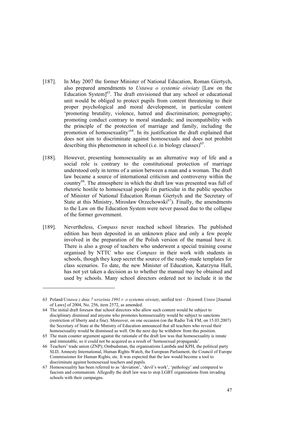- [187]. In May 2007 the former Minister of National Education, Roman Giertych, also prepared amendments to *Ustawa o systemie oświaty* [Law on the Education System $]^{63}$ . The draft envisioned that any school or educational unit would be obliged to protect pupils from content threatening to their proper psychological and moral development, in particular content 'promoting brutality, violence, hatred and discrimination; pornography; promoting conduct contrary to moral standards; and incompatibility with the principle of the protection of marriage and family, including the promotion of homosexuality'<sup>64</sup>. In its justification the draft explained that does not aim to discriminate against homosexuals and does not prohibit describing this phenomenon in school (i.e. in biology classes)<sup>65</sup>.
- [188]. However, presenting homosexuality as an alternative way of life and a social role is contrary to the constitutional protection of marriage understood only in terms of a union between a man and a woman. The draft law became a source of international criticism and controversy within the country66. The atmosphere in which the draft law was presented was full of rhetoric hostile to homosexual people (in particular in the public speeches of Minister of National Education Roman Giertych and the Secretary of State at this Ministry, Mirosław Orzechowski $^{67}$ ). Finally, the amendments to the Law on the Education System were never passed due to the collapse of the former government.
- [189]. Nevertheless, *Compass* never reached school libraries. The published edition has been deposited in an unknown place and only a few people involved in the preparation of the Polish version of the manual have it. There is also a group of teachers who underwent a special training course organised by NTTC who use *Compass* in their work with students in schools, though they keep secret the source of the ready-made templates for class scenarios. To date, the new Minister of Education, Katarzyna Hall, has not yet taken a decision as to whether the manual may be obtained and used by schools. Many school directors ordered not to include it in the

<sup>63</sup> Poland/*Ustawa z dnia 7 września 1991 r. o systemie oświaty*, unified text – *Dziennik Ustaw* [Journal of Laws] of 2004, No. 256, item 2572, as amended.

<sup>64</sup> The initial draft foresaw that school directors who allow such content would be subject to disciplinary dismissal and anyone who promotes homosexuality would be subject to sanctions (restriction of liberty and a fine). Moreover, on one occasion (on the Radio Tok FM, on 15.03.2007) the Secretary of State at the Ministry of Education announced that all teachers who reveal their homosexuality would be dismissed as well. On the next day he withdrew from this position.

<sup>65</sup> The main counter argument against the rationale of the draft law was that homosexuality is innate and immutable, so it could not be acquired as a result of 'homosexual propaganda'.

<sup>66</sup> Teachers' trade union (ZNP); Ombudsman, the organisations Lambda and KPH, the political party SLD, Amnesty International, Human Rights Watch, the European Parliament, the Council of Europe Commissioner for Human Rights, etc. It was expected that the law would become a tool to discriminate against homosexual teachers and pupils.

<sup>67</sup> Homosexuality has been referred to as 'deviation', 'devil's work', 'pathology' and compared to fascism and communism. Allegedly the draft law was to stop LGBT organisations from invading schools with their campaigns.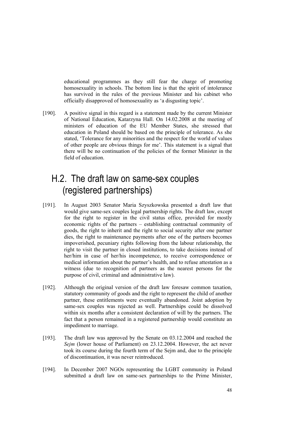educational programmes as they still fear the charge of promoting homosexuality in schools. The bottom line is that the spirit of intolerance has survived in the rules of the previous Minister and his cabinet who officially disapproved of homosexuality as 'a disgusting topic'.

[190]. A positive signal in this regard is a statement made by the current Minister of National Education, Katarzyna Hall. On 14.02.2008 at the meeting of ministers of education of the EU Member States, she stressed that education in Poland should be based on the principle of tolerance. As she stated, 'Tolerance for any minorities and the respect for the world of values of other people are obvious things for me'. This statement is a signal that there will be no continuation of the policies of the former Minister in the field of education.

# H.2. The draft law on same-sex couples (registered partnerships)

- [191]. In August 2003 Senator Maria Szyszkowska presented a draft law that would give same-sex couples legal partnership rights. The draft law, except for the right to register in the civil status office, provided for mostly economic rights of the partners – establishing contractual community of goods, the right to inherit and the right to social security after one partner dies, the right to maintenance payments after one of the partners becomes impoverished, pecuniary rights following from the labour relationship, the right to visit the partner in closed institutions, to take decisions instead of her/him in case of her/his incompetence, to receive correspondence or medical information about the partner's health, and to refuse attestation as a witness (due to recognition of partners as the nearest persons for the purpose of civil, criminal and administrative law).
- [192]. Although the original version of the draft law foresaw common taxation, statutory community of goods and the right to represent the child of another partner, these entitlements were eventually abandoned. Joint adoption by same-sex couples was rejected as well. Partnerships could be dissolved within six months after a consistent declaration of will by the partners. The fact that a person remained in a registered partnership would constitute an impediment to marriage.
- [193]. The draft law was approved by the Senate on 03.12.2004 and reached the *Sejm* (lower house of Parliament) on 23.12.2004. However, the act never took its course during the fourth term of the Sejm and, due to the principle of discontinuation, it was never reintroduced.
- [194]. In December 2007 NGOs representing the LGBT community in Poland submitted a draft law on same-sex partnerships to the Prime Minister,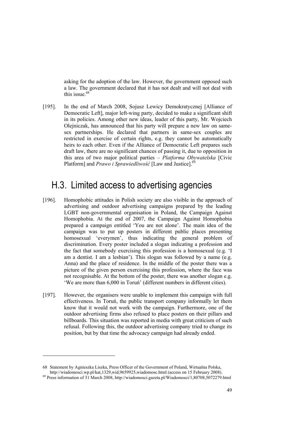asking for the adoption of the law. However, the government opposed such a law. The government declared that it has not dealt and will not deal with this issue  $68$ 

[195]. In the end of March 2008, Sojusz Lewicy Demokratycznej [Alliance of Democratic Left], major left-wing party, decided to make a significant shift in its policies. Among other new ideas, leader of this party, Mr. Wojciech Olejniczak, has announced that his party will prepare a new law on samesex partnerships. He declared that partners in same-sex couples are restricted in exercise of certain rights, e.g. they cannot be automatically heirs to each other. Even if the Alliance of Democratic Left prepares such draft law, there are no significant chances of passing it, due to opposition in this area of two major political parties – *Platforma Obywatelska* [Civic Platform] and *Prawo i Sprawiedliwość* [Law and Justice].<sup>69</sup>

## H.3. Limited access to advertising agencies

- [196]. Homophobic attitudes in Polish society are also visible in the approach of advertising and outdoor advertising campaigns prepared by the leading LGBT non-governmental organisation in Poland, the Campaign Against Homophobia. At the end of 2007, the Campaign Against Homophobia prepared a campaign entitled 'You are not alone'. The main idea of the campaign was to put up posters in different public places presenting homosexual 'everymen', thus indicating the general problem of discrimination. Every poster included a slogan indicating a profession and the fact that somebody exercising this profession is a homosexual (e.g. 'I am a dentist. I am a lesbian'). This slogan was followed by a name (e.g. Anna) and the place of residence. In the middle of the poster there was a picture of the given person exercising this profession, where the face was not recognisable. At the bottom of the poster, there was another slogan e.g. 'We are more than 6,000 in Toruń' (different numbers in different cities).
- [197]. However, the organisers were unable to implement this campaign with full effectiveness. In Toruń, the public transport company informally let them know that it would not work with the campaign. Furthermore, one of the outdoor advertising firms also refused to place posters on their pillars and billboards. This situation was reported in media with great criticism of such refusal. Following this, the outdoor advertising company tried to change its position, but by that time the advocacy campaign had already ended.

<sup>68</sup> Statement by Agnieszka Liszka, Press Officer of the Government of Poland, Wirtualna Polska,

 $h^{69}$  Press information of 31 March 2008, http://wiadomosci.gazeta.pl/Wiadomosci/1,80708,5072279.html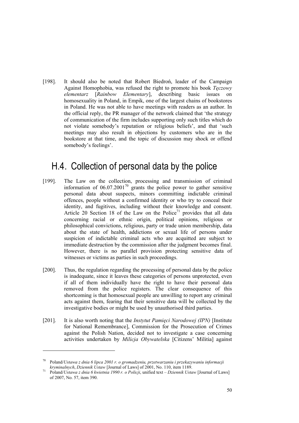[198]. It should also be noted that Robert Biedroń, leader of the Campaign Against Homophobia, was refused the right to promote his book *Tęczowy elementarz* [*Rainbow Elementary*], describing basic issues on homosexuality in Poland, in Empik, one of the largest chains of bookstores in Poland. He was not able to have meetings with readers as an author. In the official reply, the PR manager of the network claimed that 'the strategy of communication of the firm includes supporting only such titles which do not violate somebody's reputation or religious beliefs', and that 'such meetings may also result in objections by customers who are in the bookstore at that time, and the topic of discussion may shock or offend somebody's feelings'.

## H.4. Collection of personal data by the police

- [199]. The Law on the collection, processing and transmission of criminal information of  $06.07.2001^{70}$  grants the police power to gather sensitive personal data about suspects, minors committing indictable criminal offences, people without a confirmed identity or who try to conceal their identity, and fugitives, including without their knowledge and consent. Article 20 Section 18 of the Law on the Police<sup>71</sup> provides that all data concerning racial or ethnic origin, political opinions, religious or philosophical convictions, religious, party or trade union membership, data about the state of health, addictions or sexual life of persons under suspicion of indictable criminal acts who are acquitted are subject to immediate destruction by the commission after the judgment becomes final. However, there is no parallel provision protecting sensitive data of witnesses or victims as parties in such proceedings.
- [200]. Thus, the regulation regarding the processing of personal data by the police is inadequate, since it leaves these categories of persons unprotected, even if all of them individually have the right to have their personal data removed from the police registers. The clear consequence of this shortcoming is that homosexual people are unwilling to report any criminal acts against them, fearing that their sensitive data will be collected by the investigative bodies or might be used by unauthorised third parties.
- [201]. It is also worth noting that the *Instytut Pamięci Narodowej (IPN)* [Institute for National Remembrance], Commission for the Prosecution of Crimes against the Polish Nation, decided not to investigate a case concerning activities undertaken by *Milicja Obywatelska* [Citizens' Militia] against

<sup>70</sup> Poland/*Ustawa z dnia 6 lipca 2001 r. o gromadzeniu, przetwarzaniu i przekazywaniu informacji kryminalnych*, *Dziennik Ustaw* [Journal of Laws] of 2001, No. 110, item 1189.<br>Poland/*Ustawa z dnia 6 kwietnia 1990 r. o Policji*, unified text – *Dziennik Ustaw* [Journal of Laws]

of 2007, No. 57, item 390.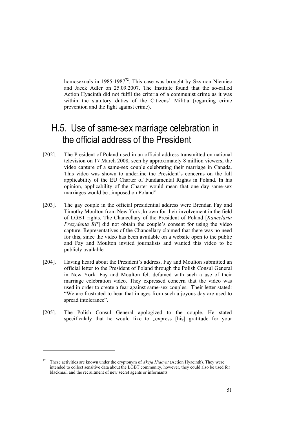homosexuals in 1985-1987 $^{72}$ . This case was brought by Szymon Niemiec and Jacek Adler on 25.09.2007. The Institute found that the so-called Action Hyacinth did not fulfil the criteria of a communist crime as it was within the statutory duties of the Citizens' Militia (regarding crime prevention and the fight against crime).

# H.5. Use of same-sex marriage celebration in the official address of the President

- [202]. The President of Poland used in an official address transmitted on national television on 17 March 2008, seen by approximately 8 million viewers, the video capture of a same-sex couple celebrating their marriage in Canada. This video was shown to underline the President's concerns on the full applicability of the EU Charter of Fundamental Rights in Poland. In his opinion, applicability of the Charter would mean that one day same-sex marriages would be "imposed on Poland".
- [203]. The gay couple in the official presidential address were Brendan Fay and Timothy Moulton from New York, known for their involvement in the field of LGBT rights. The Chancellary of the President of Poland [*Kancelaria Prezydenta RP*] did not obtain the couple's consent for using the video capture. Representatives of the Chancellary claimed that there was no need for this, since the video has been available on a website open to the public and Fay and Moulton invited journalists and wanted this video to be publicly available.
- [204]. Having heard about the President's address, Fay and Moulton submitted an official letter to the President of Poland through the Polish Consul General in New York. Fay and Moulton felt defamed with such a use of their marriage celebration video. They expressed concern that the video was used in order to create a fear against same-sex couples. Their letter stated: "We are frustrated to hear that images from such a joyous day are used to spread intolerance".
- [205]. The Polish Consul General apologized to the couple. He stated specificalaly that he would like to "express [his] gratitude for your

<sup>72</sup> These activities are known under the cryptonym of *Akcja Hiacynt* (Action Hyacinth). They were intended to collect sensitive data about the LGBT community, however, they could also be used for blackmail and the recruitment of new secret agents or informants.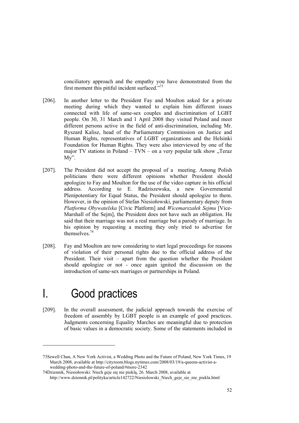conciliatory approach and the empathy you have demonstrated from the first moment this pitiful incident surfaced."73

- [206]. In another letter to the President Fay and Moulton asked for a private meeting during which they wanted to explain him different issues connected with life of same-sex couples and discrimination of LGBT people. On 30, 31 March and 1 April 2008 they visited Poland and meet different persons active in the field of anti-discrimination, including Mr. Ryszard Kalisz, head of the Parliamentary Commission on Justice and Human Rights, representatives of LGBT organizations and the Helsinki Foundation for Human Rights. They were also interviewed by one of the major TV stations in Poland – TVN – on a very popular talk show "Teraz My".
- [207]. The President did not accept the proposal of a meeting. Among Polish politicians there were different opinions whether President should apologize to Fay and Moulton for the use of the video capture in his official address. According to E. Radziszewska, a new Governmental Plenipotentiary for Equal Status, the President should apologize to them. However, in the opinion of Stefan Niesiołowski, parliamentary deputy from *Platforma Obywatelska* [Civic Platform] and *Wicemarszałek Sejmu* [Vice-Marshall of the Sejm], the President does not have such an obligation. He said that their marriage was not a real marriage but a parody of marriage. In his opinion by requesting a meeting they only tried to advertise for themselves.74
- [208]. Fay and Moulton are now considering to start legal proceedings for reasons of violation of their personal rights due to the official address of the President. Their visit – apart from the question whether the President should apologize or not - once again ignited the discussion on the introduction of same-sex marriages or partnerships in Poland.

# I. Good practices

-

[209]. In the overall assessment, the judicial approach towards the exercise of freedom of assembly by LGBT people is an example of good practices. Judgments concerning Equality Marches are meaningful due to protection of basic values in a democratic society. Some of the statements included in

<sup>73</sup>Sewell Chan, A New York Activist, a Wedding Photo and the Future of Poland, New York Times, 19 March 2008, available at http://cityroom.blogs.nytimes.com/2008/03/19/a-queens-activist-awedding-photo-and-the-future-of-poland/#more-2342

<sup>74</sup>Dziennik, Niesiołowski: Niech geje się nie pieklą, 26. March 2008, available at http://www.dziennik.pl/polityka/article142722/Niesiolowski\_Niech\_geje\_sie\_nie\_piekla.html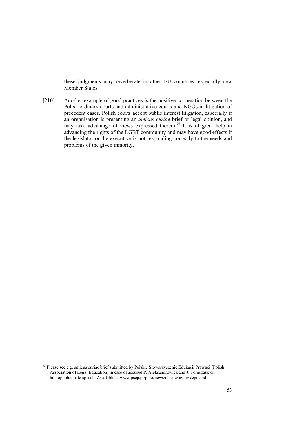these judgments may reverberate in other EU countries, especially new Member States.

[210]. Another example of good practices is the positive cooperation between the Polish ordinary courts and administrative courts and NGOs in litigation of precedent cases. Polish courts accept public interest litigation, especially if an organisation is presenting an *amicus curiae* brief or legal opinion, and may take advantage of views expressed therein.<sup>75</sup> It is of great help in advancing the rights of the LGBT community and may have good effects if the legislator or the executive is not responding correctly to the needs and problems of the given minority.

<sup>75</sup> Please see e.g. amicus curiae brief submitted by Polskie Stowarzyszenie Edukacji Prawnej [Polish Association of Legal Education] in case of accused P. Aleksandrowicz and J. Tomczask on homophobic hate speech. Available at www.psep.pl/pliki/news/obr/uwagi\_wstepne.pdf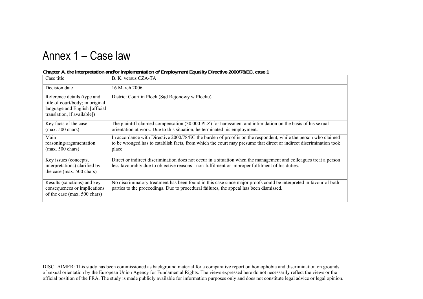# Annex 1 – Case law

|  |  |  | Chapter A, the interpretation and/or implementation of Employment Equality Directive 2000/78/EC, case 1 |
|--|--|--|---------------------------------------------------------------------------------------------------------|
|  |  |  |                                                                                                         |

| Case title                                                                                                                       | B. K. versus CZA-TA                                                                                                                                                                                                                            |
|----------------------------------------------------------------------------------------------------------------------------------|------------------------------------------------------------------------------------------------------------------------------------------------------------------------------------------------------------------------------------------------|
| Decision date                                                                                                                    | 16 March 2006                                                                                                                                                                                                                                  |
| Reference details (type and<br>title of court/body; in original<br>language and English [official<br>translation, if available]) | District Court in Plock (Sad Rejonowy w Plocku)                                                                                                                                                                                                |
| Key facts of the case<br>$(max. 500 \text{ chars})$                                                                              | The plaintiff claimed compensation (30.000 PLZ) for harassment and intimidation on the basis of his sexual<br>orientation at work. Due to this situation, he terminated his employment.                                                        |
| Main<br>reasoning/argumentation<br>$(max. 500 \text{ chars})$                                                                    | In accordance with Directive 2000/78/EC the burden of proof is on the respondent, while the person who claimed<br>to be wronged has to establish facts, from which the court may presume that direct or indirect discrimination took<br>place. |
| Key issues (concepts,<br>interpretations) clarified by<br>the case (max. 500 chars)                                              | Direct or indirect discrimination does not occur in a situation when the management and colleagues treat a person<br>less favourably due to objective reasons - non-fulfilment or improper fulfilment of his duties.                           |
| Results (sanctions) and key<br>consequences or implications<br>of the case (max. 500 chars)                                      | No discriminatory treatment has been found in this case since major proofs could be interpreted in favour of both<br>parties to the proceedings. Due to procedural failures, the appeal has been dismissed.                                    |

DISCLAIMER: This study has been commissioned as background material for a comparative report on homophobia and discrimination on grounds of sexual orientation by the European Union Agency for Fundamental Rights. The views expressed here do not necessarily reflect the views or the official position of the FRA. The study is made publicly available for information purposes only and does not constitute legal advice or legal opinion.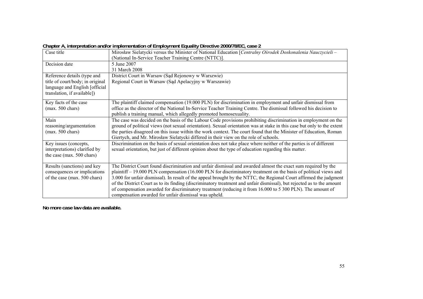| Mirosław Sielatycki versus the Minister of National Education [Centralny Ośrodek Doskonalenia Nauczycieli -<br>(National In-Service Teacher Training Centre (NTTC)]. |
|----------------------------------------------------------------------------------------------------------------------------------------------------------------------|
|                                                                                                                                                                      |
| 5 June 2007                                                                                                                                                          |
| 31 March 2008                                                                                                                                                        |
| District Court in Warsaw (Sąd Rejonowy w Warszwie)                                                                                                                   |
| Regional Court in Warsaw (Sąd Apelacyjny w Warszawie)                                                                                                                |
|                                                                                                                                                                      |
|                                                                                                                                                                      |
| The plaintiff claimed compensation (19.000 PLN) for discrimination in employment and unfair dismissal from                                                           |
| office as the director of the National In-Service Teacher Training Centre. The dismissal followed his decision to                                                    |
|                                                                                                                                                                      |
| publish a training manual, which allegedly promoted homosexuality.                                                                                                   |
| The case was decided on the basis of the Labour Code provisions prohibiting discrimination in employment on the                                                      |
| ground of political views (not sexual orientation). Sexual orientation was at stake in this case but only to the extent                                              |
| the parties disagreed on this issue within the work context. The court found that the Minister of Education, Roman                                                   |
| Giertych, and Mr. Mirosław Sielatycki differed in their view on the role of schools.                                                                                 |
| Discrimination on the basis of sexual orientation does not take place where neither of the parties is of different                                                   |
| sexual orientation, but just of different opinion about the type of education regarding this matter.                                                                 |
|                                                                                                                                                                      |
|                                                                                                                                                                      |
| The District Court found discrimination and unfair dismissal and awarded almost the exact sum required by the                                                        |
| plaintiff – 19.000 PLN compensation (16.000 PLN for discriminatory treatment on the basis of political views and                                                     |
| 3.000 for unfair dismissal). In result of the appeal brought by the NTTC, the Regional Court affirmed the judgment                                                   |
| of the District Court as to its finding (discriminatory treatment and unfair dismissal), but rejected as to the amount                                               |
| of compensation awarded for discriminatory treatment (reducing it from 16.000 to 5 300 PLN). The amount of                                                           |
| compensation awarded for unfair dismissal was upheld.                                                                                                                |
|                                                                                                                                                                      |

**Chapter A, interpretation and/or implementation of Employment Equality Directive 2000/78/EC, case 2** 

**No more case law data are available.**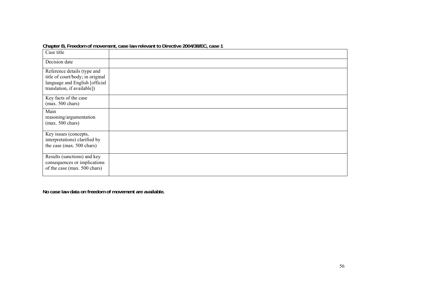|                                                                                                                                  | <b>Unapiter D<sub>r</sub> Freedom or movement, case law relevant to Directive Z004/J0/LO, case T</b> |
|----------------------------------------------------------------------------------------------------------------------------------|------------------------------------------------------------------------------------------------------|
| Case title                                                                                                                       |                                                                                                      |
| Decision date                                                                                                                    |                                                                                                      |
| Reference details (type and<br>title of court/body; in original<br>language and English [official<br>translation, if available]) |                                                                                                      |
| Key facts of the case<br>$(max. 500 \text{ chars})$                                                                              |                                                                                                      |
| Main<br>reasoning/argumentation<br>$(max. 500 \text{ chars})$                                                                    |                                                                                                      |
| Key issues (concepts,<br>interpretations) clarified by<br>the case (max. 500 chars)                                              |                                                                                                      |
| Results (sanctions) and key<br>consequences or implications<br>of the case (max. 500 chars)                                      |                                                                                                      |

#### **Chapter B, Freedom of movement, case law relevant to Directive 2004/38/EC, case 1**

**No case law data on freedom of movement are available.**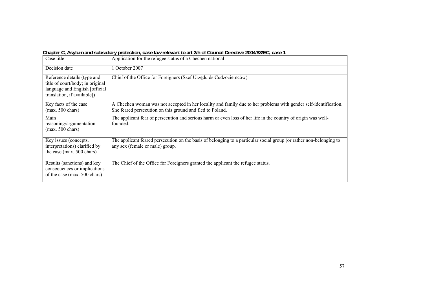| Case title                                                                                                                       | Application for the refugee status of a Chechen national                                                                                                                      |
|----------------------------------------------------------------------------------------------------------------------------------|-------------------------------------------------------------------------------------------------------------------------------------------------------------------------------|
| Decision date                                                                                                                    | October 2007                                                                                                                                                                  |
| Reference details (type and<br>title of court/body; in original<br>language and English [official<br>translation, if available]) | Chief of the Office for Foreigners (Szef Urzędu ds Cudzoziemców)                                                                                                              |
| Key facts of the case<br>$(max. 500 \text{ chars})$                                                                              | A Chechen woman was not accepted in her locality and family due to her problems with gender self-identification.<br>She feared persecution on this ground and fled to Poland. |
| Main<br>reasoning/argumentation<br>$(max. 500 \text{ chars})$                                                                    | The applicant fear of persecution and serious harm or even loss of her life in the country of origin was well-<br>founded.                                                    |
| Key issues (concepts,<br>interpretations) clarified by<br>the case (max. 500 chars)                                              | The applicant feared persecution on the basis of belonging to a particular social group (or rather non-belonging to<br>any sex (female or male) group.                        |
| Results (sanctions) and key<br>consequences or implications<br>of the case (max. 500 chars)                                      | The Chief of the Office for Foreigners granted the applicant the refugee status.                                                                                              |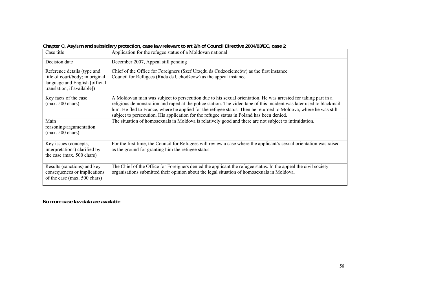| Case title                                                                                                                        | Application for the refugee status of a Moldovan national                                                                                                                                                                                                                                                                                                                                                                                              |
|-----------------------------------------------------------------------------------------------------------------------------------|--------------------------------------------------------------------------------------------------------------------------------------------------------------------------------------------------------------------------------------------------------------------------------------------------------------------------------------------------------------------------------------------------------------------------------------------------------|
| Decision date                                                                                                                     | December 2007, Appeal still pending                                                                                                                                                                                                                                                                                                                                                                                                                    |
| Reference details (type and<br>title of court/body; in original<br>language and English [official]<br>translation, if available]) | Chief of the Office for Foreigners (Szef Urzędu ds Cudzoziemców) as the first instance<br>Council for Refugees (Rada ds Uchodźców) as the appeal instance                                                                                                                                                                                                                                                                                              |
| Key facts of the case<br>$(max. 500 \text{ chars})$                                                                               | A Moldovan man was subject to persecution due to his sexual orientation. He was arrested for taking part in a<br>religious demonstration and raped at the police station. The video tape of this incident was later used to blackmail<br>him. He fled to France, where he applied for the refugee status. Then he returned to Moldova, where he was still<br>subject to persecution. His application for the refugee status in Poland has been denied. |
| Main<br>reasoning/argumentation<br>$(max. 500 \text{ chars})$                                                                     | The situation of homosexuals in Moldova is relatively good and there are not subject to intimidation.                                                                                                                                                                                                                                                                                                                                                  |
| Key issues (concepts,<br>interpretations) clarified by<br>the case (max. 500 chars)                                               | For the first time, the Council for Refugees will review a case where the applicant's sexual orientation was raised<br>as the ground for granting him the refugee status.                                                                                                                                                                                                                                                                              |
| Results (sanctions) and key<br>consequences or implications<br>of the case (max. 500 chars)                                       | The Chief of the Office for Foreigners denied the applicant the refugee status. In the appeal the civil society<br>organisations submitted their opinion about the legal situation of homosexuals in Moldova.                                                                                                                                                                                                                                          |

**Chapter C, Asylum and subsidiary protection, case law relevant to art 2/h of Council Directive 2004/83/EC, case 2** 

**No more case law data are available**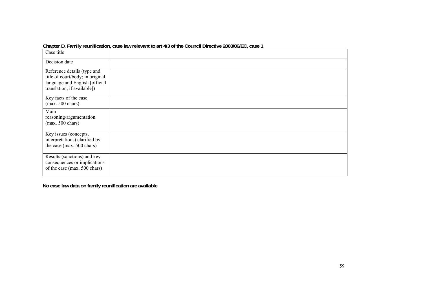|                                                                                                                                  | Gridpici D, Family Teumication, Case law Televant to all 4/3 of the Council Directive Zooslooi LC, Case T |
|----------------------------------------------------------------------------------------------------------------------------------|-----------------------------------------------------------------------------------------------------------|
| Case title                                                                                                                       |                                                                                                           |
| Decision date                                                                                                                    |                                                                                                           |
| Reference details (type and<br>title of court/body; in original<br>language and English [official<br>translation, if available]) |                                                                                                           |
| Key facts of the case<br>$(max. 500 \text{ chars})$                                                                              |                                                                                                           |
| Main<br>reasoning/argumentation<br>$(max. 500 \text{ chars})$                                                                    |                                                                                                           |
| Key issues (concepts,<br>interpretations) clarified by<br>the case (max. 500 chars)                                              |                                                                                                           |
| Results (sanctions) and key<br>consequences or implications<br>of the case (max. 500 chars)                                      |                                                                                                           |

**Chapter D, Family reunification, case law relevant to art 4/3 of the Council Directive 2003/86/EC, case 1** 

**No case law data on family reunification are available**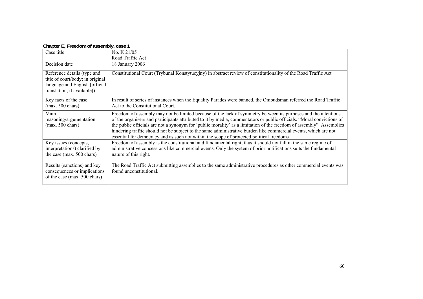| $\sim$ . The state is the contract of a second state $\mathbf{y}_i$ and $\mathbf{y}_i$                                           |                                                                                                                                                                                                                                                                                                                                                                                                                                                                                                                                                                                |
|----------------------------------------------------------------------------------------------------------------------------------|--------------------------------------------------------------------------------------------------------------------------------------------------------------------------------------------------------------------------------------------------------------------------------------------------------------------------------------------------------------------------------------------------------------------------------------------------------------------------------------------------------------------------------------------------------------------------------|
| Case title                                                                                                                       | No. K 21/05                                                                                                                                                                                                                                                                                                                                                                                                                                                                                                                                                                    |
|                                                                                                                                  | Road Traffic Act                                                                                                                                                                                                                                                                                                                                                                                                                                                                                                                                                               |
| Decision date                                                                                                                    | 18 January 2006                                                                                                                                                                                                                                                                                                                                                                                                                                                                                                                                                                |
| Reference details (type and<br>title of court/body; in original<br>language and English [official<br>translation, if available]) | Constitutional Court (Trybunał Konstytucyjny) in abstract review of constitutionality of the Road Traffic Act                                                                                                                                                                                                                                                                                                                                                                                                                                                                  |
| Key facts of the case<br>$(max. 500 \text{ chars})$                                                                              | In result of series of instances when the Equality Parades were banned, the Ombudsman referred the Road Traffic<br>Act to the Constitutional Court.                                                                                                                                                                                                                                                                                                                                                                                                                            |
| Main<br>reasoning/argumentation<br>$(max. 500 \text{ chars})$                                                                    | Freedom of assembly may not be limited because of the lack of symmetry between its purposes and the intentions<br>of the organisers and participants attributed to it by media, commentators or public officials. "Moral convictions of<br>the public officials are not a synonym for 'public morality' as a limitation of the freedom of assembly". Assemblies<br>hindering traffic should not be subject to the same administrative burden like commercial events, which are not<br>essential for democracy and as such not within the scope of protected political freedoms |
| Key issues (concepts,<br>interpretations) clarified by<br>the case (max. 500 chars)                                              | Freedom of assembly is the constitutional and fundamental right, thus it should not fall in the same regime of<br>administrative concessions like commercial events. Only the system of prior notifications suits the fundamental<br>nature of this right.                                                                                                                                                                                                                                                                                                                     |
| Results (sanctions) and key<br>consequences or implications<br>of the case (max. 500 chars)                                      | The Road Traffic Act submitting assemblies to the same administrative procedures as other commercial events was<br>found unconstitutional.                                                                                                                                                                                                                                                                                                                                                                                                                                     |

#### **Chapter E, Freedom of assembly, case 1**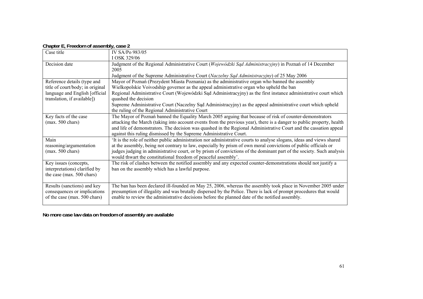| $1.49$ , $3.1$ , $1.9$                                        |                                                                                                                                         |
|---------------------------------------------------------------|-----------------------------------------------------------------------------------------------------------------------------------------|
| Case title                                                    | IV SA/Po 983/05                                                                                                                         |
|                                                               | I OSK 329/06                                                                                                                            |
| Decision date                                                 | Judgment of the Regional Administrative Court (Wojewódzki Sąd Administracyjny) in Poznań of 14 December                                 |
|                                                               | 2005                                                                                                                                    |
|                                                               | Judgment of the Supreme Administrative Court (Naczelny Sąd Administracyjny) of 25 May 2006                                              |
| Reference details (type and                                   | Mayor of Poznań (Prezydent Miasta Poznania) as the administrative organ who banned the assembly                                         |
| title of court/body; in original                              | Wielkopolskie Voivodship governor as the appeal administrative organ who upheld the ban                                                 |
| language and English [official<br>translation, if available]) | Regional Administrative Court (Wojewódzki Sąd Administracyjny) as the first instance administrative court which<br>quashed the decision |
|                                                               | Supreme Administrative Court (Naczelny Sąd Administracyjny) as the appeal administrative court which upheld                             |
|                                                               | the ruling of the Regional Administrative Court                                                                                         |
| Key facts of the case                                         | The Mayor of Poznań banned the Equality March 2005 arguing that because of risk of counter-demonstrators                                |
| $(max. 500 \text{ chars})$                                    | attacking the March (taking into account events from the previous year), there is a danger to public property, health                   |
|                                                               | and life of demonstrators. The decision was quashed in the Regional Administrative Court and the cassation appeal                       |
|                                                               | against this ruling dismissed by the Supreme Administrative Court.                                                                      |
| Main                                                          | It is the role of neither public administration nor administrative courts to analyse slogans, ideas and views shared                    |
| reasoning/argumentation                                       | at the assembly, being not contrary to law, especially by prism of own moral convictions of public officials or                         |
| $(max. 500 \text{ chars})$                                    | judges judging in administrative court, or by prism of convictions of the dominant part of the society. Such analysis                   |
|                                                               | would thwart the constitutional freedom of peaceful assembly'.                                                                          |
| Key issues (concepts,                                         | The risk of clashes between the notified assembly and any expected counter-demonstrations should not justify a                          |
| interpretations) clarified by                                 | ban on the assembly which has a lawful purpose.                                                                                         |
| the case (max. 500 chars)                                     |                                                                                                                                         |
| Results (sanctions) and key                                   | The ban has been declared ill-founded on May 25, 2006, whereas the assembly took place in November 2005 under                           |
| consequences or implications                                  | presumption of illegality and was brutally dispersed by the Police. There is lack of prompt procedures that would                       |
| of the case (max. 500 chars)                                  | enable to review the administrative decisions before the planned date of the notified assembly.                                         |
|                                                               |                                                                                                                                         |

#### **Chapter E, Freedom of assembly, case 2**

**No more case law data on freedom of assembly are available**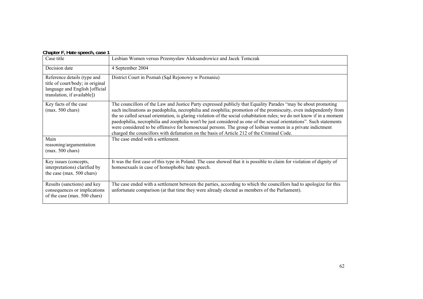|  | Chapter F, Hate speech, case 1 |  |
|--|--------------------------------|--|
|--|--------------------------------|--|

| Case title                                                                                                                       | Lesbian Women versus Przemysław Aleksandrowicz and Jacek Tomczak                                                                                                                                                                                                                                                                                                                                                                                                                                                                                                                                                                                                                                |
|----------------------------------------------------------------------------------------------------------------------------------|-------------------------------------------------------------------------------------------------------------------------------------------------------------------------------------------------------------------------------------------------------------------------------------------------------------------------------------------------------------------------------------------------------------------------------------------------------------------------------------------------------------------------------------------------------------------------------------------------------------------------------------------------------------------------------------------------|
| Decision date                                                                                                                    | 4 September 2004                                                                                                                                                                                                                                                                                                                                                                                                                                                                                                                                                                                                                                                                                |
| Reference details (type and<br>title of court/body; in original<br>language and English [official<br>translation, if available]) | District Court in Poznań (Sąd Rejonowy w Poznaniu)                                                                                                                                                                                                                                                                                                                                                                                                                                                                                                                                                                                                                                              |
| Key facts of the case<br>$(max. 500 \text{ chars})$                                                                              | The councillors of the Law and Justice Party expressed publicly that Equality Parades "may be about promoting<br>such inclinations as paedophilia, necrophilia and zoophilia; promotion of the promiscuity, even independently from<br>the so called sexual orientation, is glaring violation of the social cohabitation rules; we do not know if in a moment<br>paedophilia, necrophilia and zoophilia won't be just considered as one of the sexual orientations". Such statements<br>were considered to be offensive for homosexual persons. The group of lesbian women in a private indictment<br>charged the councillors with defamation on the basis of Article 212 of the Criminal Code. |
| Main<br>reasoning/argumentation<br>$(max. 500 \text{ chars})$                                                                    | The case ended with a settlement.                                                                                                                                                                                                                                                                                                                                                                                                                                                                                                                                                                                                                                                               |
| Key issues (concepts,<br>interpretations) clarified by<br>the case (max. 500 chars)                                              | It was the first case of this type in Poland. The case showed that it is possible to claim for violation of dignity of<br>homosexuals in case of homophobic hate speech.                                                                                                                                                                                                                                                                                                                                                                                                                                                                                                                        |
| Results (sanctions) and key<br>consequences or implications<br>of the case (max. 500 chars)                                      | The case ended with a settlement between the parties, according to which the councillors had to apologize for this<br>unfortunate comparison (at that time they were already elected as members of the Parliament).                                                                                                                                                                                                                                                                                                                                                                                                                                                                             |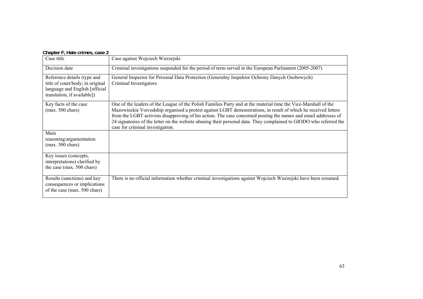#### **Chapter F, Hate crimes, case 2**

| Case title                                                                                                                       | Case against Wojciech Wierzejski                                                                                                                                                                                                                                                                                                                                                                                                                                                                               |
|----------------------------------------------------------------------------------------------------------------------------------|----------------------------------------------------------------------------------------------------------------------------------------------------------------------------------------------------------------------------------------------------------------------------------------------------------------------------------------------------------------------------------------------------------------------------------------------------------------------------------------------------------------|
| Decision date                                                                                                                    | Criminal investigations suspended for the period of term served in the European Parliament (2005-2007)                                                                                                                                                                                                                                                                                                                                                                                                         |
| Reference details (type and<br>title of court/body; in original<br>language and English [official<br>translation, if available]) | General Inspector for Personal Data Protection (Generalny Inspektor Ochrony Danych Osobowych)<br>Criminal Investigators                                                                                                                                                                                                                                                                                                                                                                                        |
| Key facts of the case<br>$(max. 500 \text{ chars})$                                                                              | One of the leaders of the League of the Polish Families Party and at the material time the Vice-Marshall of the<br>Mazowieckie Voivodship organised a protest against LGBT demonstrations, in result of which he received letters<br>from the LGBT activists disapproving of his action. The case concerned posting the names and email addresses of<br>24 signatories of the letter on the website abusing their personal data. They complained to GIODO who referred the<br>case for criminal investigation. |
| Main<br>reasoning/argumentation<br>$(max. 500 \text{ chars})$                                                                    |                                                                                                                                                                                                                                                                                                                                                                                                                                                                                                                |
| Key issues (concepts,<br>interpretations) clarified by<br>the case (max. 500 chars)                                              |                                                                                                                                                                                                                                                                                                                                                                                                                                                                                                                |
| Results (sanctions) and key<br>consequences or implications<br>of the case (max. 500 chars)                                      | There is no official information whether criminal investigations against Wojciech Wierzejski have been resumed.                                                                                                                                                                                                                                                                                                                                                                                                |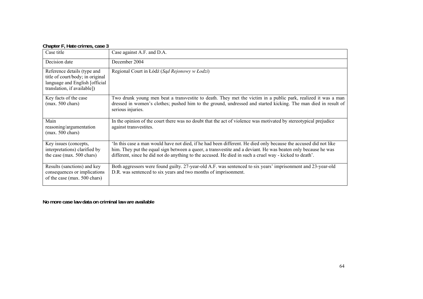| Case title                                                                                                                       | Case against A.F. and D.A.                                                                                                                                                                                                                                                                                                                   |
|----------------------------------------------------------------------------------------------------------------------------------|----------------------------------------------------------------------------------------------------------------------------------------------------------------------------------------------------------------------------------------------------------------------------------------------------------------------------------------------|
| Decision date                                                                                                                    | December 2004                                                                                                                                                                                                                                                                                                                                |
| Reference details (type and<br>title of court/body; in original<br>language and English [official<br>translation, if available]) | Regional Court in Łódź (Sąd Rejonowy w Łodzi)                                                                                                                                                                                                                                                                                                |
| Key facts of the case<br>$(max. 500 \text{ chars})$                                                                              | Two drunk young men beat a transvestite to death. They met the victim in a public park, realized it was a man<br>dressed in women's clothes; pushed him to the ground, undressed and started kicking. The man died in result of<br>serious injuries.                                                                                         |
| Main<br>reasoning/argumentation<br>$(max. 500 \text{ chars})$                                                                    | In the opinion of the court there was no doubt that the act of violence was motivated by stereotypical prejudice<br>against transvestites.                                                                                                                                                                                                   |
| Key issues (concepts,<br>interpretations) clarified by<br>the case (max. 500 chars)                                              | 'In this case a man would have not died, if he had been different. He died only because the accused did not like<br>him. They put the equal sign between a queer, a transvestite and a deviant. He was beaten only because he was<br>different, since he did not do anything to the accused. He died in such a cruel way - kicked to death'. |
| Results (sanctions) and key<br>consequences or implications<br>of the case (max. 500 chars)                                      | Both aggressors were found guilty. 27-year-old A.F. was sentenced to six years' imprisonment and 23-year-old<br>D.R. was sentenced to six years and two months of imprisonment.                                                                                                                                                              |

**No more case law data on criminal law are available**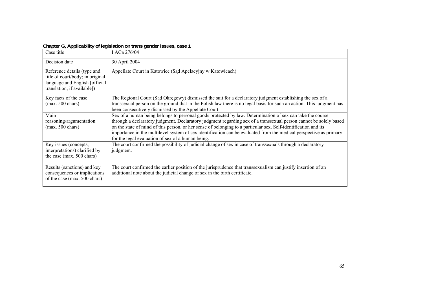| Case title                                                                                                                       | I ACa 276/04                                                                                                                                                                                                                                                                                                                                                                                                                                                                                                                 |
|----------------------------------------------------------------------------------------------------------------------------------|------------------------------------------------------------------------------------------------------------------------------------------------------------------------------------------------------------------------------------------------------------------------------------------------------------------------------------------------------------------------------------------------------------------------------------------------------------------------------------------------------------------------------|
| Decision date                                                                                                                    | 30 April 2004                                                                                                                                                                                                                                                                                                                                                                                                                                                                                                                |
| Reference details (type and<br>title of court/body; in original<br>language and English [official<br>translation, if available]) | Appellate Court in Katowice (Sąd Apelacyjny w Katowicach)                                                                                                                                                                                                                                                                                                                                                                                                                                                                    |
| Key facts of the case<br>$(max. 500 \text{ chars})$                                                                              | The Regional Court (Sad Okręgowy) dismissed the suit for a declaratory judgment establishing the sex of a<br>transsexual person on the ground that in the Polish law there is no legal basis for such an action. This judgment has<br>been consecutively dismissed by the Appellate Court                                                                                                                                                                                                                                    |
| Main<br>reasoning/argumentation<br>$(max. 500 \text{ chars})$                                                                    | Sex of a human being belongs to personal goods protected by law. Determination of sex can take the course<br>through a declaratory judgment. Declaratory judgment regarding sex of a transsexual person cannot be solely based<br>on the state of mind of this person, or her sense of belonging to a particular sex. Self-identification and its<br>importance in the multilevel system of sex identification can be evaluated from the medical perspective as primary<br>for the legal evaluation of sex of a human being. |
| Key issues (concepts,<br>interpretations) clarified by<br>the case (max. 500 chars)                                              | The court confirmed the possibility of judicial change of sex in case of transsexuals through a declaratory<br>judgment.                                                                                                                                                                                                                                                                                                                                                                                                     |
| Results (sanctions) and key<br>consequences or implications<br>of the case (max. 500 chars)                                      | The court confirmed the earlier position of the jurisprudence that transsexualism can justify insertion of an<br>additional note about the judicial change of sex in the birth certificate.                                                                                                                                                                                                                                                                                                                                  |

#### **Chapter G, Applicability of legislation on trans gender issues, case 1**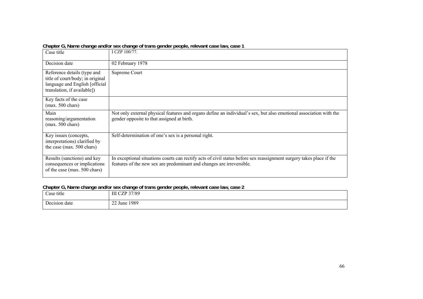| Case title                                                                                                                       | I CZP 100/77.                                                                                                                                                                                 |
|----------------------------------------------------------------------------------------------------------------------------------|-----------------------------------------------------------------------------------------------------------------------------------------------------------------------------------------------|
| Decision date                                                                                                                    | 02 February 1978                                                                                                                                                                              |
| Reference details (type and<br>title of court/body; in original<br>language and English [official<br>translation, if available]) | Supreme Court                                                                                                                                                                                 |
| Key facts of the case<br>$(max. 500 \text{ chars})$                                                                              |                                                                                                                                                                                               |
| Main<br>reasoning/argumentation<br>$(max. 500 \text{ chars})$                                                                    | Not only external physical features and organs define an individual's sex, but also emotional association with the<br>gender opposite to that assigned at birth.                              |
| Key issues (concepts,<br>interpretations) clarified by<br>the case (max. 500 chars)                                              | Self-determination of one's sex is a personal right.                                                                                                                                          |
| Results (sanctions) and key<br>consequences or implications<br>of the case (max. 500 chars)                                      | In exceptional situations courts can rectify acts of civil status before sex reassignment surgery takes place if the<br>features of the new sex are predominant and changes are irreversible. |

#### **Chapter G, Name change and/or sex change of trans gender people, relevant case law, case 1**

### **Chapter G, Name change and/or sex change of trans gender people, relevant case law, case 2**

| Case title    | CZP 37/89<br><b>TTT</b>                       |
|---------------|-----------------------------------------------|
| Decision date | 1989<br>$\sim$ $\sim$ $\sim$<br>$22$ June $'$ |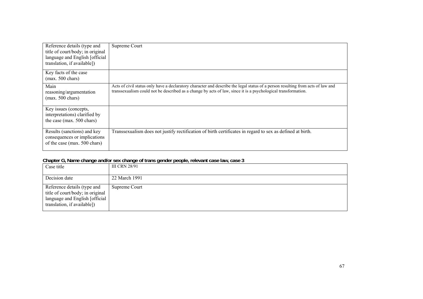| Reference details (type and<br>title of court/body; in original<br>language and English [official<br>translation, if available]) | Supreme Court                                                                                                                                                                                                                                    |
|----------------------------------------------------------------------------------------------------------------------------------|--------------------------------------------------------------------------------------------------------------------------------------------------------------------------------------------------------------------------------------------------|
| Key facts of the case<br>$(max. 500 \text{ chars})$                                                                              |                                                                                                                                                                                                                                                  |
| Main<br>reasoning/argumentation<br>$(max. 500 \text{ chars})$                                                                    | Acts of civil status only have a declaratory character and describe the legal status of a person resulting from acts of law and<br>transsexualism could not be described as a change by acts of law, since it is a psychological transformation. |
| Key issues (concepts,<br>interpretations) clarified by<br>the case (max. 500 chars)                                              |                                                                                                                                                                                                                                                  |
| Results (sanctions) and key<br>consequences or implications<br>of the case (max. 500 chars)                                      | Transsexualism does not justify rectification of birth certificates in regard to sex as defined at birth.                                                                                                                                        |

#### **Chapter G, Name change and/or sex change of trans gender people, relevant case law, case 3**

| Case title                                                                                                                        | <b>III CRN 28/91</b> |
|-----------------------------------------------------------------------------------------------------------------------------------|----------------------|
| Decision date                                                                                                                     | 22 March 1991        |
| Reference details (type and<br>title of court/body; in original<br>language and English [official]<br>translation, if available]) | Supreme Court        |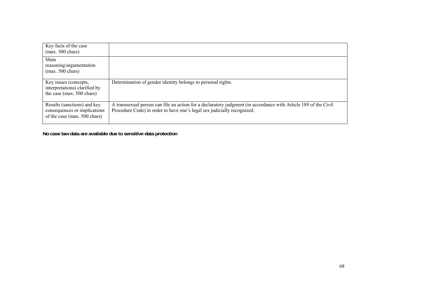| Key facts of the case<br>$(max. 500 \text{ chars})$                                         |                                                                                                                                                                                            |
|---------------------------------------------------------------------------------------------|--------------------------------------------------------------------------------------------------------------------------------------------------------------------------------------------|
| Main<br>reasoning/argumentation<br>$(max. 500 \text{ chars})$                               |                                                                                                                                                                                            |
| Key issues (concepts,<br>interpretations) clarified by<br>the case (max. 500 chars)         | Determination of gender identity belongs to personal rights.                                                                                                                               |
| Results (sanctions) and key<br>consequences or implications<br>of the case (max. 500 chars) | A transsexual person can file an action for a declaratory judgment (in accordance with Article 189 of the Civil<br>Procedure Code) in order to have one's legal sex judicially recognized. |

**No case law data are available due to sensitive data protection**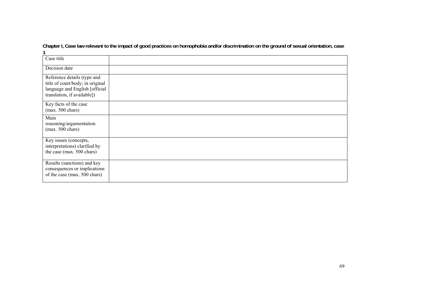| Case title                                                                                                                       |  |
|----------------------------------------------------------------------------------------------------------------------------------|--|
| Decision date                                                                                                                    |  |
| Reference details (type and<br>title of court/body; in original<br>language and English [official<br>translation, if available]) |  |
| Key facts of the case<br>$(max. 500 \text{ chars})$                                                                              |  |
| Main<br>reasoning/argumentation<br>$(max. 500 \text{ chars})$                                                                    |  |
| Key issues (concepts,<br>interpretations) clarified by<br>the case (max. 500 chars)                                              |  |
| Results (sanctions) and key<br>consequences or implications<br>of the case (max. 500 chars)                                      |  |

**Chapter I, Case law relevant to the impact of good practices on homophobia and/or discrimination on the ground of sexual orientation, case 1**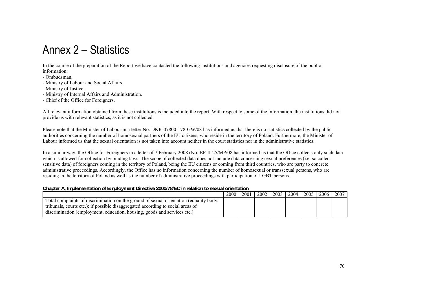# Annex 2 – Statistics

In the course of the preparation of the Report we have contacted the following institutions and agencies requesting disclosure of the public information:

- Ombudsman,

- Ministry of Labour and Social Affairs,
- Ministry of Justice,
- Ministry of Internal Affairs and Administration.
- Chief of the Office for Foreigners,

All relevant information obtained from these institutions is included into the report. With respect to some of the information, the institutions did not provide us with relevant statistics, as it is not collected.

Please note that the Minister of Labour in a letter No. DKR-07800-178-GW/08 has informed us that there is no statistics collected by the public authorities concerning the number of homosexual partners of the EU citizens, who reside in the territory of Poland. Furthermore, the Minister of Labour informed us that the sexual orientation is not taken into account neither in the court statistics nor in the administrative statistics.

In a similar way, the Office for Foreigners in a letter of 7 February 2008 (No. BP-II-25/MP/08 has informed us that the Office collects only such data which is allowed for collection by binding laws. The scope of collected data does not include data concerning sexual preferences (i.e. so called sensitive data) of foreigners coming in the territory of Poland, being the EU citizens or coming from third countries, who are party to concrete administrative proceedings. Accordingly, the Office has no information concerning the number of homosexual or transsexual persons, who are residing in the territory of Poland as well as the number of administrative proceedings with participation of LGBT persons.

#### **Chapter A, Implementation of Employment Directive 2000/78/EC in relation to sexual orientation**

|                                                                                        | 2000 | 2001 | 2002 | 2003 | 2004 | 2005 | 2006 | 2007 |
|----------------------------------------------------------------------------------------|------|------|------|------|------|------|------|------|
| Total complaints of discrimination on the ground of sexual orientation (equality body, |      |      |      |      |      |      |      |      |
| tribunals, courts etc.): if possible disaggregated according to social areas of        |      |      |      |      |      |      |      |      |
| discrimination (employment, education, housing, goods and services etc.)               |      |      |      |      |      |      |      |      |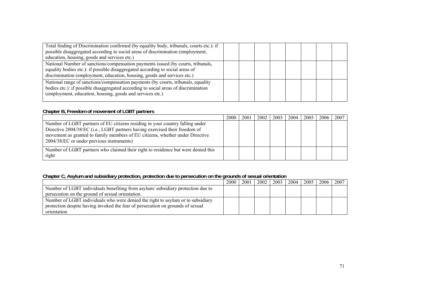| Total finding of Discrimination confirmed (by equality body, tribunals, courts etc.): if<br>possible disaggregated according to social areas of discrimination (employment,<br>education, housing, goods and services etc.)                   |  |  |  |  |
|-----------------------------------------------------------------------------------------------------------------------------------------------------------------------------------------------------------------------------------------------|--|--|--|--|
| National Number of sanctions/compensation payments issued (by courts, tribunals,<br>equality bodies etc.): if possible disaggregated according to social areas of<br>discrimination (employment, education, housing, goods and services etc.) |  |  |  |  |
| National range of sanctions/compensation payments (by courts, tribunals, equality<br>bodies etc.): if possible disaggregated according to social areas of discrimination<br>(employment, education, housing, goods and services etc.)         |  |  |  |  |

### **Chapter B, Freedom of movement of LGBT partners**

|                                                                                                                                                                                                                                                                                            | 2000 | 2001 | 2002 | 2003 | 2004 | 2005 | 2006 | 2007 |
|--------------------------------------------------------------------------------------------------------------------------------------------------------------------------------------------------------------------------------------------------------------------------------------------|------|------|------|------|------|------|------|------|
| Number of LGBT partners of EU citizens residing in your country falling under<br>Directive 2004/38/EC (i.e., LGBT partners having exercised their freedom of<br>movement as granted to family members of EU citizens, whether under Directive<br>2004/38/EC or under previous instruments) |      |      |      |      |      |      |      |      |
| Number of LGBT partners who claimed their right to residence but were denied this<br>right                                                                                                                                                                                                 |      |      |      |      |      |      |      |      |

### **Chapter C, Asylum and subsidiary protection, protection due to persecution on the grounds of sexual orientation**

|                                                                                 | 2000 | 2001 | 2002 | $2003$ | 2004 | 2005 | 2006 l | 2007 |
|---------------------------------------------------------------------------------|------|------|------|--------|------|------|--------|------|
| Number of LGBT individuals benefiting from asylum/subsidiary protection due to  |      |      |      |        |      |      |        |      |
| persecution on the ground of sexual orientation.                                |      |      |      |        |      |      |        |      |
| Number of LGBT individuals who were denied the right to asylum or to subsidiary |      |      |      |        |      |      |        |      |
| protection despite having invoked the fear of persecution on grounds of sexual  |      |      |      |        |      |      |        |      |
| orientation                                                                     |      |      |      |        |      |      |        |      |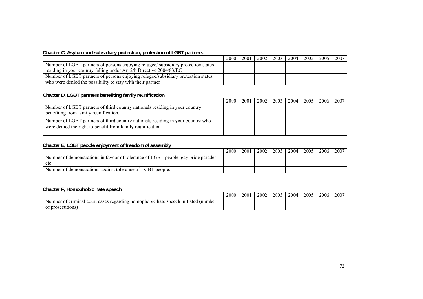### **Chapter C, Asylum and subsidiary protection, protection of LGBT partners**

|                                                                                   | 2000 | 2001 | 2002 | 2003 | 2004 | $2005$ 2006 | 2007 |
|-----------------------------------------------------------------------------------|------|------|------|------|------|-------------|------|
| Number of LGBT partners of persons enjoying refugee/ subsidiary protection status |      |      |      |      |      |             |      |
| residing in your country falling under Art 2/h Directive 2004/83/EC               |      |      |      |      |      |             |      |
| Number of LGBT partners of persons enjoying refugee/subsidiary protection status  |      |      |      |      |      |             |      |
| who were denied the possibility to stay with their partner                        |      |      |      |      |      |             |      |

### **Chapter D, LGBT partners benefiting family reunification**

|                                                                                                                                               | 2000 | 2001 | 2002 | 2003 | 2004 | 2005 | 2006 2007 |  |
|-----------------------------------------------------------------------------------------------------------------------------------------------|------|------|------|------|------|------|-----------|--|
| Number of LGBT partners of third country nationals residing in your country<br>benefiting from family reunification.                          |      |      |      |      |      |      |           |  |
| Number of LGBT partners of third country nationals residing in your country who<br>were denied the right to benefit from family reunification |      |      |      |      |      |      |           |  |

#### **Chapter E, LGBT people enjoyment of freedom of assembly**

|                                                                                    | 2000 | 2001 | 2002 | 2003 | 2004 | 2005 | 2006 | 2007 |
|------------------------------------------------------------------------------------|------|------|------|------|------|------|------|------|
| Number of demonstrations in favour of tolerance of LGBT people, gay pride parades, |      |      |      |      |      |      |      |      |
| etc                                                                                |      |      |      |      |      |      |      |      |
| Number of demonstrations against tolerance of LGBT people.                         |      |      |      |      |      |      |      |      |

### **Chapter F, Homophobic hate speech**

|                                                                                                                     | 2000 | 2001 | 2002 | 2003 | 2004 | 2005 | 2006 | 2007 |
|---------------------------------------------------------------------------------------------------------------------|------|------|------|------|------|------|------|------|
| e speech initiated<br>regarding<br>criminal<br>: homophobic<br>(number<br>: hate<br>- OT<br>Number<br>cour<br>cases |      |      |      |      |      |      |      |      |
| prosecutions.<br>ОI                                                                                                 |      |      |      |      |      |      |      |      |